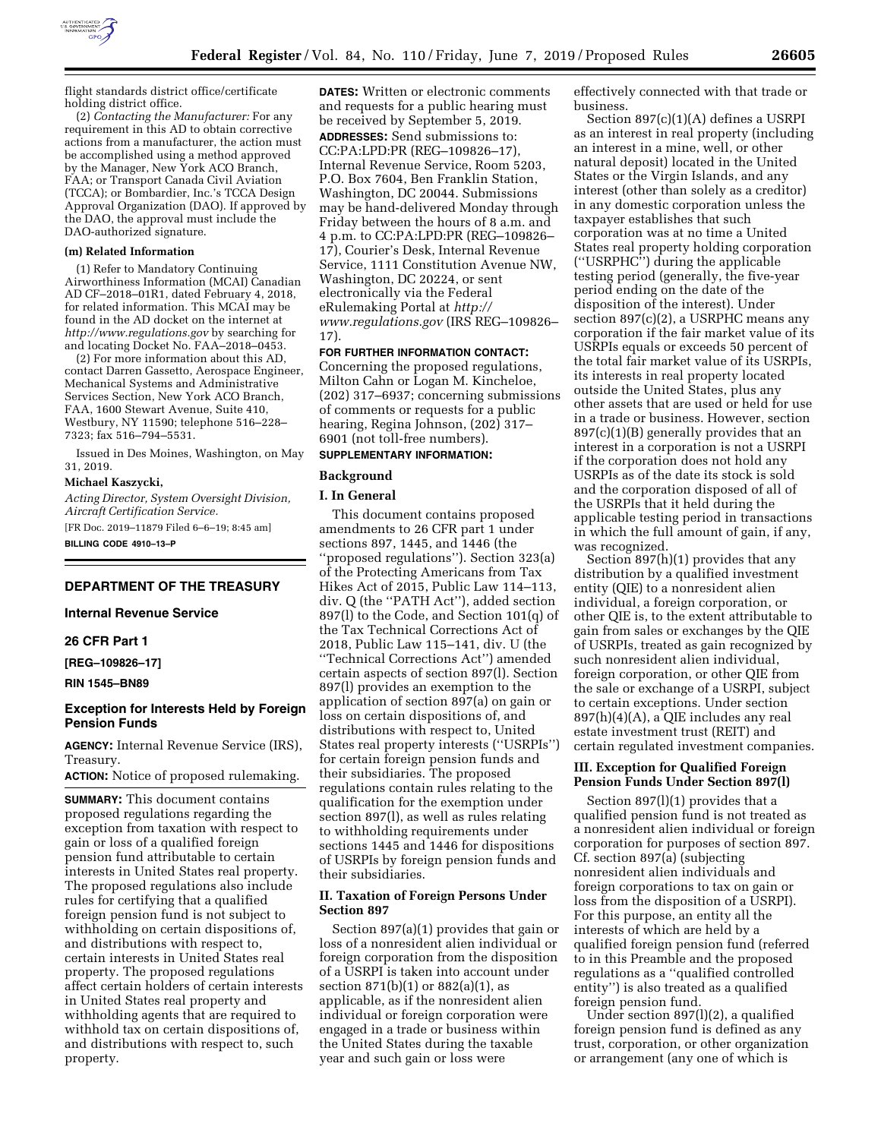

flight standards district office/certificate holding district office.

(2) *Contacting the Manufacturer:* For any requirement in this AD to obtain corrective actions from a manufacturer, the action must be accomplished using a method approved by the Manager, New York ACO Branch, FAA; or Transport Canada Civil Aviation (TCCA); or Bombardier, Inc.'s TCCA Design Approval Organization (DAO). If approved by the DAO, the approval must include the DAO-authorized signature.

#### **(m) Related Information**

(1) Refer to Mandatory Continuing Airworthiness Information (MCAI) Canadian AD CF–2018–01R1, dated February 4, 2018, for related information. This MCAI may be found in the AD docket on the internet at *<http://www.regulations.gov>*by searching for and locating Docket No. FAA–2018–0453.

(2) For more information about this AD, contact Darren Gassetto, Aerospace Engineer, Mechanical Systems and Administrative Services Section, New York ACO Branch, FAA, 1600 Stewart Avenue, Suite 410, Westbury, NY 11590; telephone 516–228– 7323; fax 516–794–5531.

Issued in Des Moines, Washington, on May 31, 2019.

#### **Michael Kaszycki,**

*Acting Director, System Oversight Division, Aircraft Certification Service.* 

[FR Doc. 2019–11879 Filed 6–6–19; 8:45 am] **BILLING CODE 4910–13–P** 

# **DEPARTMENT OF THE TREASURY**

### **Internal Revenue Service**

# **26 CFR Part 1**

**[REG–109826–17]** 

**RIN 1545–BN89** 

# **Exception for Interests Held by Foreign Pension Funds**

**AGENCY:** Internal Revenue Service (IRS), Treasury.

**ACTION:** Notice of proposed rulemaking.

**SUMMARY:** This document contains proposed regulations regarding the exception from taxation with respect to gain or loss of a qualified foreign pension fund attributable to certain interests in United States real property. The proposed regulations also include rules for certifying that a qualified foreign pension fund is not subject to withholding on certain dispositions of, and distributions with respect to, certain interests in United States real property. The proposed regulations affect certain holders of certain interests in United States real property and withholding agents that are required to withhold tax on certain dispositions of, and distributions with respect to, such property.

**DATES:** Written or electronic comments and requests for a public hearing must be received by September 5, 2019. **ADDRESSES:** Send submissions to: CC:PA:LPD:PR (REG–109826–17), Internal Revenue Service, Room 5203, P.O. Box 7604, Ben Franklin Station, Washington, DC 20044. Submissions may be hand-delivered Monday through Friday between the hours of 8 a.m. and 4 p.m. to CC:PA:LPD:PR (REG–109826– 17), Courier's Desk, Internal Revenue Service, 1111 Constitution Avenue NW, Washington, DC 20224, or sent electronically via the Federal eRulemaking Portal at *[http://](http://www.regulations.gov) [www.regulations.gov](http://www.regulations.gov)* (IRS REG–109826– 17).

**FOR FURTHER INFORMATION CONTACT:**  Concerning the proposed regulations, Milton Cahn or Logan M. Kincheloe, (202) 317–6937; concerning submissions of comments or requests for a public hearing, Regina Johnson, (202) 317– 6901 (not toll-free numbers).

# **SUPPLEMENTARY INFORMATION:**

### **Background**

#### **I. In General**

This document contains proposed amendments to 26 CFR part 1 under sections 897, 1445, and 1446 (the ''proposed regulations''). Section 323(a) of the Protecting Americans from Tax Hikes Act of 2015, Public Law 114–113, div. Q (the ''PATH Act''), added section 897(l) to the Code, and Section 101(q) of the Tax Technical Corrections Act of 2018, Public Law 115–141, div. U (the ''Technical Corrections Act'') amended certain aspects of section 897(l). Section 897(l) provides an exemption to the application of section 897(a) on gain or loss on certain dispositions of, and distributions with respect to, United States real property interests (''USRPIs'') for certain foreign pension funds and their subsidiaries. The proposed regulations contain rules relating to the qualification for the exemption under section 897(l), as well as rules relating to withholding requirements under sections 1445 and 1446 for dispositions of USRPIs by foreign pension funds and their subsidiaries.

# **II. Taxation of Foreign Persons Under Section 897**

Section 897(a)(1) provides that gain or loss of a nonresident alien individual or foreign corporation from the disposition of a USRPI is taken into account under section 871(b)(1) or 882(a)(1), as applicable, as if the nonresident alien individual or foreign corporation were engaged in a trade or business within the United States during the taxable year and such gain or loss were

effectively connected with that trade or business.

Section 897(c)(1)(A) defines a USRPI as an interest in real property (including an interest in a mine, well, or other natural deposit) located in the United States or the Virgin Islands, and any interest (other than solely as a creditor) in any domestic corporation unless the taxpayer establishes that such corporation was at no time a United States real property holding corporation (''USRPHC'') during the applicable testing period (generally, the five-year period ending on the date of the disposition of the interest). Under section 897(c)(2), a USRPHC means any corporation if the fair market value of its USRPIs equals or exceeds 50 percent of the total fair market value of its USRPIs, its interests in real property located outside the United States, plus any other assets that are used or held for use in a trade or business. However, section 897(c)(1)(B) generally provides that an interest in a corporation is not a USRPI if the corporation does not hold any USRPIs as of the date its stock is sold and the corporation disposed of all of the USRPIs that it held during the applicable testing period in transactions in which the full amount of gain, if any, was recognized.

Section 897(h)(1) provides that any distribution by a qualified investment entity (QIE) to a nonresident alien individual, a foreign corporation, or other QIE is, to the extent attributable to gain from sales or exchanges by the QIE of USRPIs, treated as gain recognized by such nonresident alien individual, foreign corporation, or other QIE from the sale or exchange of a USRPI, subject to certain exceptions. Under section  $897(h)(4)(A)$ , a QIE includes any real estate investment trust (REIT) and certain regulated investment companies.

### **III. Exception for Qualified Foreign Pension Funds Under Section 897(l)**

Section 897(l)(1) provides that a qualified pension fund is not treated as a nonresident alien individual or foreign corporation for purposes of section 897. Cf. section 897(a) (subjecting nonresident alien individuals and foreign corporations to tax on gain or loss from the disposition of a USRPI). For this purpose, an entity all the interests of which are held by a qualified foreign pension fund (referred to in this Preamble and the proposed regulations as a ''qualified controlled entity'') is also treated as a qualified foreign pension fund.

Under section 897(l)(2), a qualified foreign pension fund is defined as any trust, corporation, or other organization or arrangement (any one of which is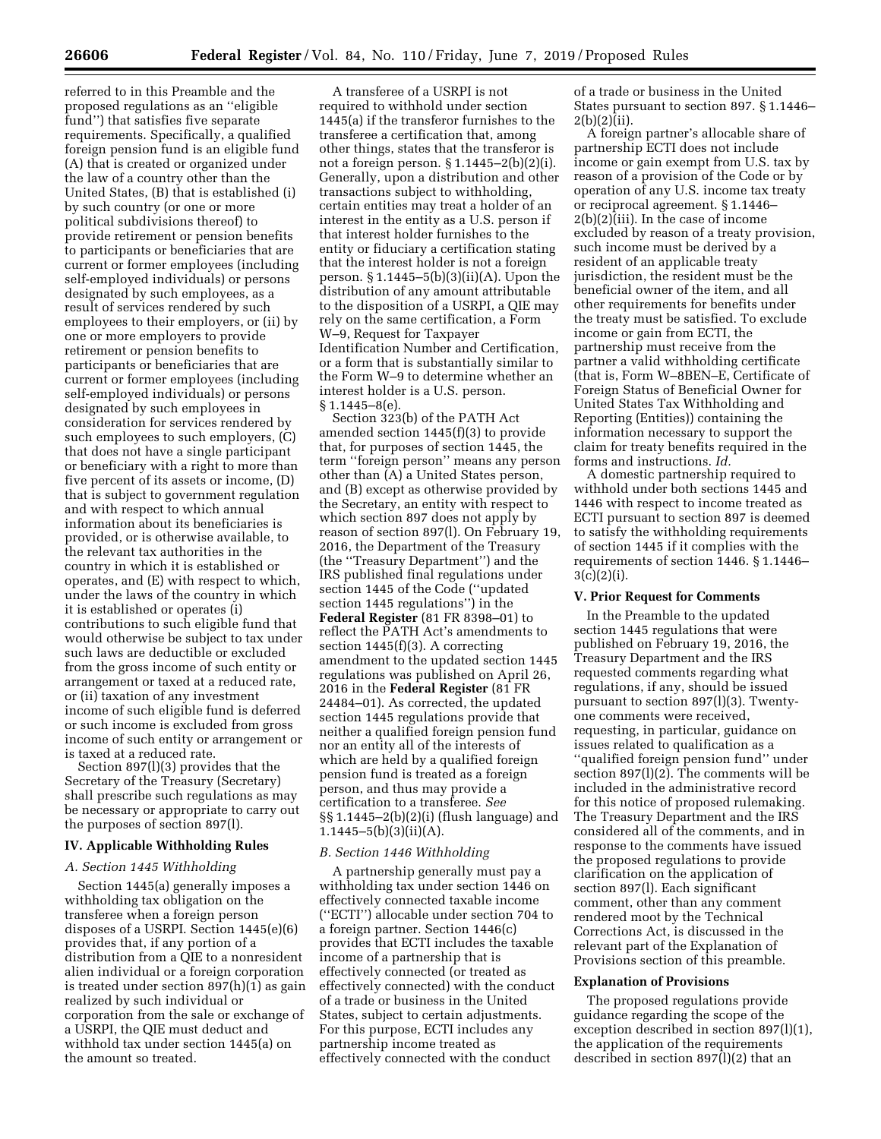referred to in this Preamble and the proposed regulations as an ''eligible fund'') that satisfies five separate requirements. Specifically, a qualified foreign pension fund is an eligible fund (A) that is created or organized under the law of a country other than the United States, (B) that is established (i) by such country (or one or more political subdivisions thereof) to provide retirement or pension benefits to participants or beneficiaries that are current or former employees (including self-employed individuals) or persons designated by such employees, as a result of services rendered by such employees to their employers, or (ii) by one or more employers to provide retirement or pension benefits to participants or beneficiaries that are current or former employees (including self-employed individuals) or persons designated by such employees in consideration for services rendered by such employees to such employers, (C) that does not have a single participant or beneficiary with a right to more than five percent of its assets or income, (D) that is subject to government regulation and with respect to which annual information about its beneficiaries is provided, or is otherwise available, to the relevant tax authorities in the country in which it is established or operates, and (E) with respect to which, under the laws of the country in which it is established or operates (i) contributions to such eligible fund that would otherwise be subject to tax under such laws are deductible or excluded from the gross income of such entity or arrangement or taxed at a reduced rate, or (ii) taxation of any investment income of such eligible fund is deferred or such income is excluded from gross income of such entity or arrangement or is taxed at a reduced rate.

Section 897(l)(3) provides that the Secretary of the Treasury (Secretary) shall prescribe such regulations as may be necessary or appropriate to carry out the purposes of section 897(l).

# **IV. Applicable Withholding Rules**

# *A. Section 1445 Withholding*

Section 1445(a) generally imposes a withholding tax obligation on the transferee when a foreign person disposes of a USRPI. Section 1445(e)(6) provides that, if any portion of a distribution from a QIE to a nonresident alien individual or a foreign corporation is treated under section 897(h)(1) as gain realized by such individual or corporation from the sale or exchange of a USRPI, the QIE must deduct and withhold tax under section 1445(a) on the amount so treated.

A transferee of a USRPI is not required to withhold under section 1445(a) if the transferor furnishes to the transferee a certification that, among other things, states that the transferor is not a foreign person. § 1.1445–2(b)(2)(i). Generally, upon a distribution and other transactions subject to withholding, certain entities may treat a holder of an interest in the entity as a U.S. person if that interest holder furnishes to the entity or fiduciary a certification stating that the interest holder is not a foreign person. § 1.1445–5(b)(3)(ii)(A). Upon the distribution of any amount attributable to the disposition of a USRPI, a QIE may rely on the same certification, a Form W–9, Request for Taxpayer Identification Number and Certification, or a form that is substantially similar to the Form W–9 to determine whether an interest holder is a U.S. person.  $§ 1.1445 - 8(e).$ 

Section 323(b) of the PATH Act amended section 1445(f)(3) to provide that, for purposes of section 1445, the term ''foreign person'' means any person other than (A) a United States person, and (B) except as otherwise provided by the Secretary, an entity with respect to which section 897 does not apply by reason of section 897(l). On February 19, 2016, the Department of the Treasury (the ''Treasury Department'') and the IRS published final regulations under section 1445 of the Code (''updated section 1445 regulations'') in the **Federal Register** (81 FR 8398–01) to reflect the PATH Act's amendments to section 1445(f)(3). A correcting amendment to the updated section 1445 regulations was published on April 26, 2016 in the **Federal Register** (81 FR 24484–01). As corrected, the updated section 1445 regulations provide that neither a qualified foreign pension fund nor an entity all of the interests of which are held by a qualified foreign pension fund is treated as a foreign person, and thus may provide a certification to a transferee. *See*  §§ 1.1445–2(b)(2)(i) (flush language) and  $1.1445 - 5(b)(3)(ii)(A).$ 

#### *B. Section 1446 Withholding*

A partnership generally must pay a withholding tax under section 1446 on effectively connected taxable income (''ECTI'') allocable under section 704 to a foreign partner. Section 1446(c) provides that ECTI includes the taxable income of a partnership that is effectively connected (or treated as effectively connected) with the conduct of a trade or business in the United States, subject to certain adjustments. For this purpose, ECTI includes any partnership income treated as effectively connected with the conduct

of a trade or business in the United States pursuant to section 897. § 1.1446–  $2(b)(2)(ii)$ .

A foreign partner's allocable share of partnership ECTI does not include income or gain exempt from U.S. tax by reason of a provision of the Code or by operation of any U.S. income tax treaty or reciprocal agreement. § 1.1446– 2(b)(2)(iii). In the case of income excluded by reason of a treaty provision, such income must be derived by a resident of an applicable treaty jurisdiction, the resident must be the beneficial owner of the item, and all other requirements for benefits under the treaty must be satisfied. To exclude income or gain from ECTI, the partnership must receive from the partner a valid withholding certificate (that is, Form W–8BEN–E, Certificate of Foreign Status of Beneficial Owner for United States Tax Withholding and Reporting (Entities)) containing the information necessary to support the claim for treaty benefits required in the forms and instructions. *Id.* 

A domestic partnership required to withhold under both sections 1445 and 1446 with respect to income treated as ECTI pursuant to section 897 is deemed to satisfy the withholding requirements of section 1445 if it complies with the requirements of section 1446. § 1.1446–  $3(c)(2)(i)$ .

### **V. Prior Request for Comments**

In the Preamble to the updated section 1445 regulations that were published on February 19, 2016, the Treasury Department and the IRS requested comments regarding what regulations, if any, should be issued pursuant to section 897(l)(3). Twentyone comments were received, requesting, in particular, guidance on issues related to qualification as a ''qualified foreign pension fund'' under section 897(l)(2). The comments will be included in the administrative record for this notice of proposed rulemaking. The Treasury Department and the IRS considered all of the comments, and in response to the comments have issued the proposed regulations to provide clarification on the application of section 897(l). Each significant comment, other than any comment rendered moot by the Technical Corrections Act, is discussed in the relevant part of the Explanation of Provisions section of this preamble.

#### **Explanation of Provisions**

The proposed regulations provide guidance regarding the scope of the exception described in section 897(l)(1), the application of the requirements described in section 897(l)(2) that an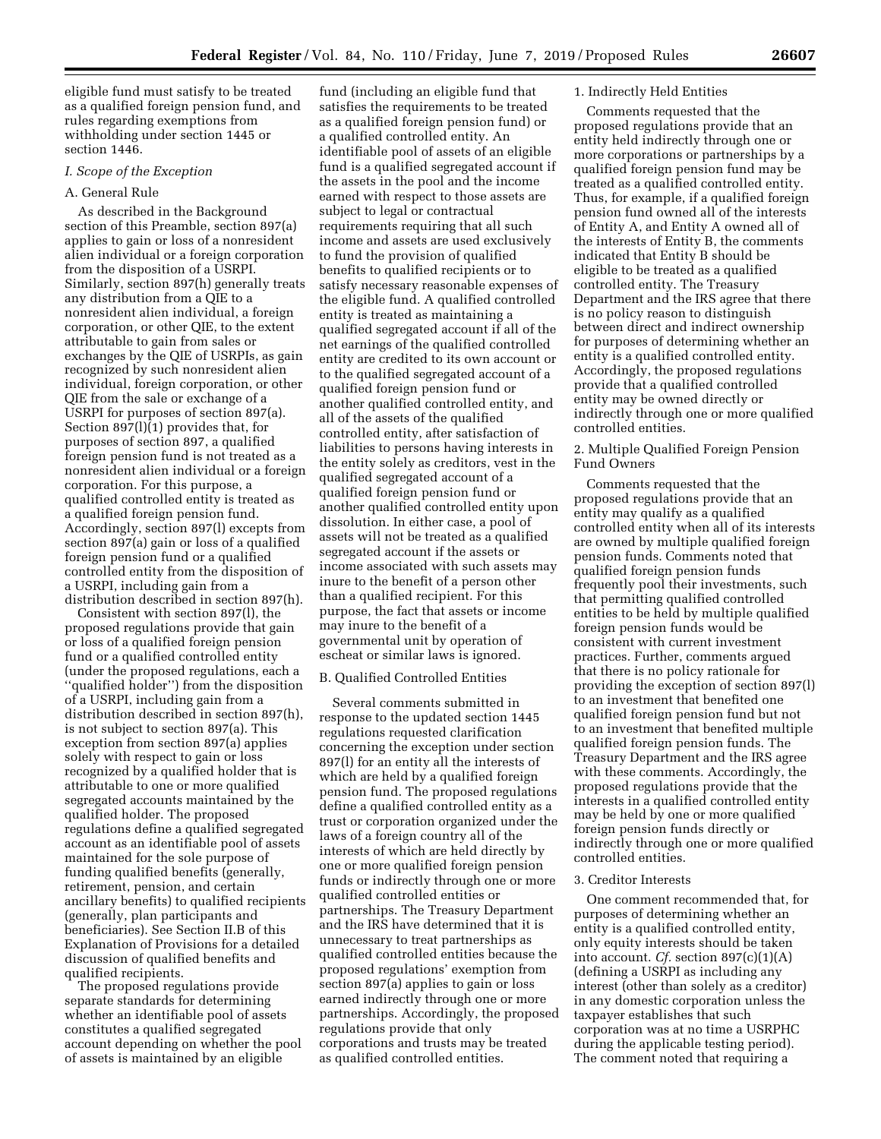eligible fund must satisfy to be treated as a qualified foreign pension fund, and rules regarding exemptions from withholding under section 1445 or section 1446.

# *I. Scope of the Exception*

# A. General Rule

As described in the Background section of this Preamble, section 897(a) applies to gain or loss of a nonresident alien individual or a foreign corporation from the disposition of a USRPI. Similarly, section 897(h) generally treats any distribution from a QIE to a nonresident alien individual, a foreign corporation, or other QIE, to the extent attributable to gain from sales or exchanges by the QIE of USRPIs, as gain recognized by such nonresident alien individual, foreign corporation, or other QIE from the sale or exchange of a USRPI for purposes of section 897(a). Section 897(l)(1) provides that, for purposes of section 897, a qualified foreign pension fund is not treated as a nonresident alien individual or a foreign corporation. For this purpose, a qualified controlled entity is treated as a qualified foreign pension fund. Accordingly, section 897(l) excepts from section 897(a) gain or loss of a qualified foreign pension fund or a qualified controlled entity from the disposition of a USRPI, including gain from a distribution described in section 897(h).

Consistent with section 897(l), the proposed regulations provide that gain or loss of a qualified foreign pension fund or a qualified controlled entity (under the proposed regulations, each a ''qualified holder'') from the disposition of a USRPI, including gain from a distribution described in section 897(h), is not subject to section 897(a). This exception from section 897(a) applies solely with respect to gain or loss recognized by a qualified holder that is attributable to one or more qualified segregated accounts maintained by the qualified holder. The proposed regulations define a qualified segregated account as an identifiable pool of assets maintained for the sole purpose of funding qualified benefits (generally, retirement, pension, and certain ancillary benefits) to qualified recipients (generally, plan participants and beneficiaries). See Section II.B of this Explanation of Provisions for a detailed discussion of qualified benefits and qualified recipients.

The proposed regulations provide separate standards for determining whether an identifiable pool of assets constitutes a qualified segregated account depending on whether the pool of assets is maintained by an eligible

fund (including an eligible fund that satisfies the requirements to be treated as a qualified foreign pension fund) or a qualified controlled entity. An identifiable pool of assets of an eligible fund is a qualified segregated account if the assets in the pool and the income earned with respect to those assets are subject to legal or contractual requirements requiring that all such income and assets are used exclusively to fund the provision of qualified benefits to qualified recipients or to satisfy necessary reasonable expenses of the eligible fund. A qualified controlled entity is treated as maintaining a qualified segregated account if all of the net earnings of the qualified controlled entity are credited to its own account or to the qualified segregated account of a qualified foreign pension fund or another qualified controlled entity, and all of the assets of the qualified controlled entity, after satisfaction of liabilities to persons having interests in the entity solely as creditors, vest in the qualified segregated account of a qualified foreign pension fund or another qualified controlled entity upon dissolution. In either case, a pool of assets will not be treated as a qualified segregated account if the assets or income associated with such assets may inure to the benefit of a person other than a qualified recipient. For this purpose, the fact that assets or income may inure to the benefit of a governmental unit by operation of escheat or similar laws is ignored.

## B. Qualified Controlled Entities

Several comments submitted in response to the updated section 1445 regulations requested clarification concerning the exception under section 897(l) for an entity all the interests of which are held by a qualified foreign pension fund. The proposed regulations define a qualified controlled entity as a trust or corporation organized under the laws of a foreign country all of the interests of which are held directly by one or more qualified foreign pension funds or indirectly through one or more qualified controlled entities or partnerships. The Treasury Department and the IRS have determined that it is unnecessary to treat partnerships as qualified controlled entities because the proposed regulations' exemption from section 897(a) applies to gain or loss earned indirectly through one or more partnerships. Accordingly, the proposed regulations provide that only corporations and trusts may be treated as qualified controlled entities.

### 1. Indirectly Held Entities

Comments requested that the proposed regulations provide that an entity held indirectly through one or more corporations or partnerships by a qualified foreign pension fund may be treated as a qualified controlled entity. Thus, for example, if a qualified foreign pension fund owned all of the interests of Entity A, and Entity A owned all of the interests of Entity B, the comments indicated that Entity B should be eligible to be treated as a qualified controlled entity. The Treasury Department and the IRS agree that there is no policy reason to distinguish between direct and indirect ownership for purposes of determining whether an entity is a qualified controlled entity. Accordingly, the proposed regulations provide that a qualified controlled entity may be owned directly or indirectly through one or more qualified controlled entities.

### 2. Multiple Qualified Foreign Pension Fund Owners

Comments requested that the proposed regulations provide that an entity may qualify as a qualified controlled entity when all of its interests are owned by multiple qualified foreign pension funds. Comments noted that qualified foreign pension funds frequently pool their investments, such that permitting qualified controlled entities to be held by multiple qualified foreign pension funds would be consistent with current investment practices. Further, comments argued that there is no policy rationale for providing the exception of section 897(l) to an investment that benefited one qualified foreign pension fund but not to an investment that benefited multiple qualified foreign pension funds. The Treasury Department and the IRS agree with these comments. Accordingly, the proposed regulations provide that the interests in a qualified controlled entity may be held by one or more qualified foreign pension funds directly or indirectly through one or more qualified controlled entities.

#### 3. Creditor Interests

One comment recommended that, for purposes of determining whether an entity is a qualified controlled entity, only equity interests should be taken into account. *Cf.* section 897(c)(1)(A) (defining a USRPI as including any interest (other than solely as a creditor) in any domestic corporation unless the taxpayer establishes that such corporation was at no time a USRPHC during the applicable testing period). The comment noted that requiring a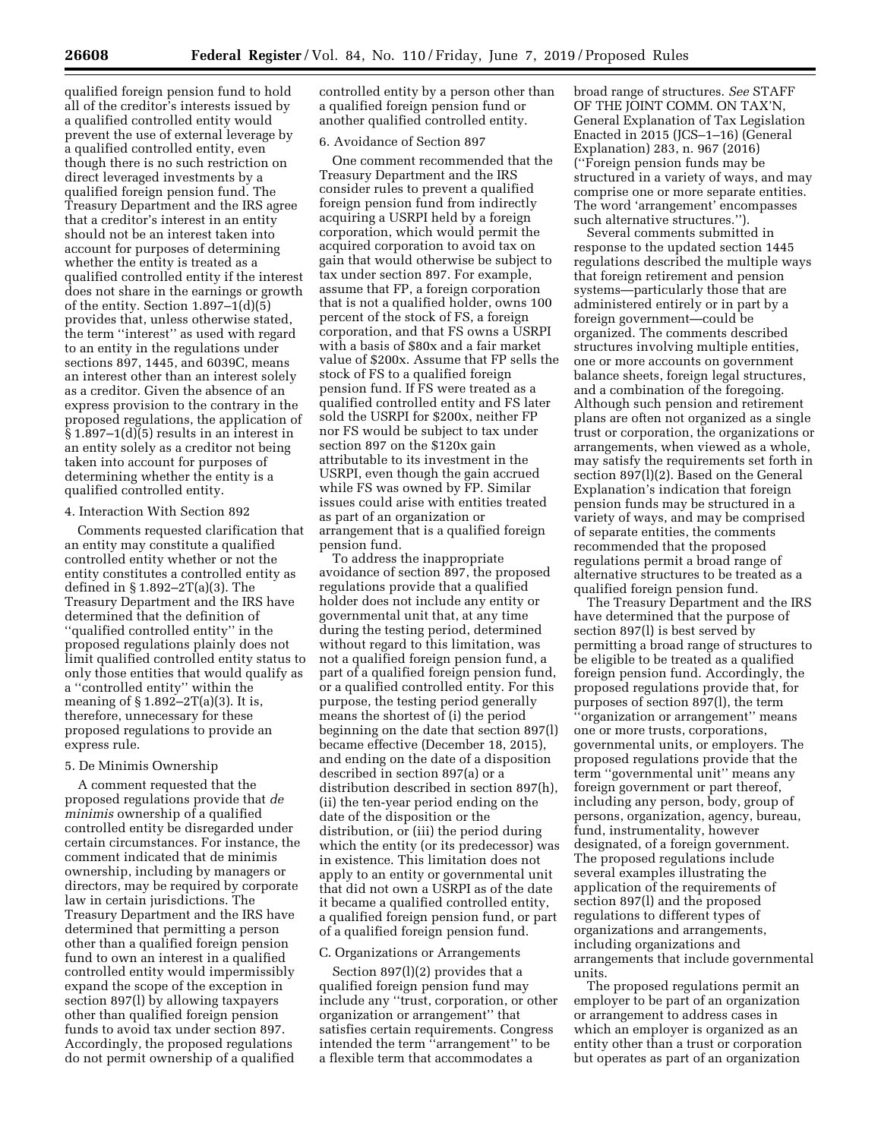qualified foreign pension fund to hold all of the creditor's interests issued by a qualified controlled entity would prevent the use of external leverage by a qualified controlled entity, even though there is no such restriction on direct leveraged investments by a qualified foreign pension fund. The Treasury Department and the IRS agree that a creditor's interest in an entity should not be an interest taken into account for purposes of determining whether the entity is treated as a qualified controlled entity if the interest does not share in the earnings or growth of the entity. Section 1.897–1(d)(5) provides that, unless otherwise stated, the term ''interest'' as used with regard to an entity in the regulations under sections 897, 1445, and 6039C, means an interest other than an interest solely as a creditor. Given the absence of an express provision to the contrary in the proposed regulations, the application of § 1.897–1(d)(5) results in an interest in an entity solely as a creditor not being taken into account for purposes of determining whether the entity is a qualified controlled entity.

#### 4. Interaction With Section 892

Comments requested clarification that an entity may constitute a qualified controlled entity whether or not the entity constitutes a controlled entity as defined in § 1.892–2T(a)(3). The Treasury Department and the IRS have determined that the definition of ''qualified controlled entity'' in the proposed regulations plainly does not limit qualified controlled entity status to only those entities that would qualify as a ''controlled entity'' within the meaning of  $\S 1.892 - 2T(a)(3)$ . It is, therefore, unnecessary for these proposed regulations to provide an express rule.

#### 5. De Minimis Ownership

A comment requested that the proposed regulations provide that *de minimis* ownership of a qualified controlled entity be disregarded under certain circumstances. For instance, the comment indicated that de minimis ownership, including by managers or directors, may be required by corporate law in certain jurisdictions. The Treasury Department and the IRS have determined that permitting a person other than a qualified foreign pension fund to own an interest in a qualified controlled entity would impermissibly expand the scope of the exception in section 897(l) by allowing taxpayers other than qualified foreign pension funds to avoid tax under section 897. Accordingly, the proposed regulations do not permit ownership of a qualified

controlled entity by a person other than a qualified foreign pension fund or another qualified controlled entity.

# 6. Avoidance of Section 897

One comment recommended that the Treasury Department and the IRS consider rules to prevent a qualified foreign pension fund from indirectly acquiring a USRPI held by a foreign corporation, which would permit the acquired corporation to avoid tax on gain that would otherwise be subject to tax under section 897. For example, assume that FP, a foreign corporation that is not a qualified holder, owns 100 percent of the stock of FS, a foreign corporation, and that FS owns a USRPI with a basis of \$80x and a fair market value of \$200x. Assume that FP sells the stock of FS to a qualified foreign pension fund. If FS were treated as a qualified controlled entity and FS later sold the USRPI for \$200x, neither FP nor FS would be subject to tax under section 897 on the \$120x gain attributable to its investment in the USRPI, even though the gain accrued while FS was owned by FP. Similar issues could arise with entities treated as part of an organization or arrangement that is a qualified foreign pension fund.

To address the inappropriate avoidance of section 897, the proposed regulations provide that a qualified holder does not include any entity or governmental unit that, at any time during the testing period, determined without regard to this limitation, was not a qualified foreign pension fund, a part of a qualified foreign pension fund, or a qualified controlled entity. For this purpose, the testing period generally means the shortest of (i) the period beginning on the date that section 897(l) became effective (December 18, 2015), and ending on the date of a disposition described in section 897(a) or a distribution described in section 897(h), (ii) the ten-year period ending on the date of the disposition or the distribution, or (iii) the period during which the entity (or its predecessor) was in existence. This limitation does not apply to an entity or governmental unit that did not own a USRPI as of the date it became a qualified controlled entity, a qualified foreign pension fund, or part of a qualified foreign pension fund.

# C. Organizations or Arrangements

Section 897(l)(2) provides that a qualified foreign pension fund may include any ''trust, corporation, or other organization or arrangement'' that satisfies certain requirements. Congress intended the term ''arrangement'' to be a flexible term that accommodates a

broad range of structures. *See* STAFF OF THE JOINT COMM. ON TAX'N, General Explanation of Tax Legislation Enacted in 2015 (JCS–1–16) (General Explanation) 283, n. 967 (2016) (''Foreign pension funds may be structured in a variety of ways, and may comprise one or more separate entities. The word 'arrangement' encompasses such alternative structures.'').

Several comments submitted in response to the updated section 1445 regulations described the multiple ways that foreign retirement and pension systems—particularly those that are administered entirely or in part by a foreign government—could be organized. The comments described structures involving multiple entities, one or more accounts on government balance sheets, foreign legal structures, and a combination of the foregoing. Although such pension and retirement plans are often not organized as a single trust or corporation, the organizations or arrangements, when viewed as a whole, may satisfy the requirements set forth in section 897(l)(2). Based on the General Explanation's indication that foreign pension funds may be structured in a variety of ways, and may be comprised of separate entities, the comments recommended that the proposed regulations permit a broad range of alternative structures to be treated as a qualified foreign pension fund.

The Treasury Department and the IRS have determined that the purpose of section 897(l) is best served by permitting a broad range of structures to be eligible to be treated as a qualified foreign pension fund. Accordingly, the proposed regulations provide that, for purposes of section 897(l), the term ''organization or arrangement'' means one or more trusts, corporations, governmental units, or employers. The proposed regulations provide that the term ''governmental unit'' means any foreign government or part thereof, including any person, body, group of persons, organization, agency, bureau, fund, instrumentality, however designated, of a foreign government. The proposed regulations include several examples illustrating the application of the requirements of section 897(l) and the proposed regulations to different types of organizations and arrangements, including organizations and arrangements that include governmental units.

The proposed regulations permit an employer to be part of an organization or arrangement to address cases in which an employer is organized as an entity other than a trust or corporation but operates as part of an organization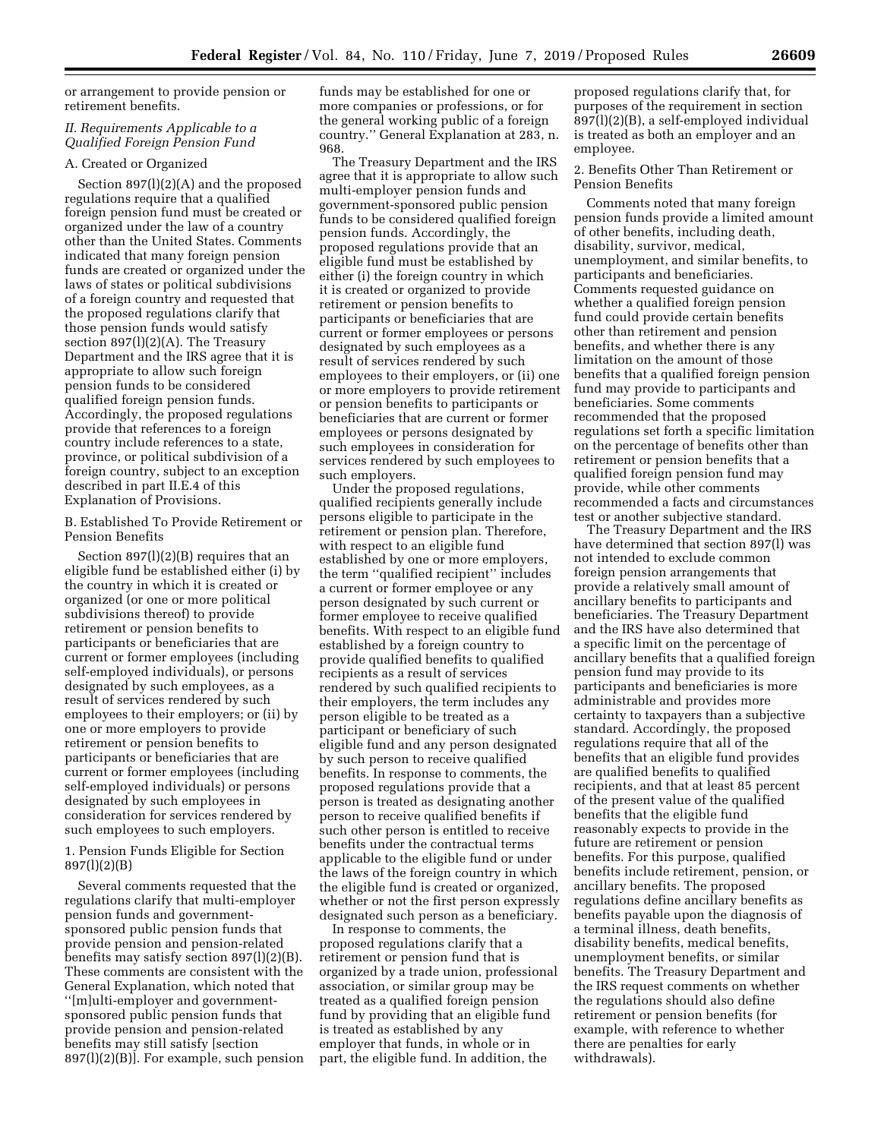or arrangement to provide pension or retirement benefits.

# *II. Requirements Applicable to a Qualified Foreign Pension Fund*

# A. Created or Organized

Section 897(l)(2)(A) and the proposed regulations require that a qualified foreign pension fund must be created or organized under the law of a country other than the United States. Comments indicated that many foreign pension funds are created or organized under the laws of states or political subdivisions of a foreign country and requested that the proposed regulations clarify that those pension funds would satisfy section 897(l)(2)(A). The Treasury Department and the IRS agree that it is appropriate to allow such foreign pension funds to be considered qualified foreign pension funds. Accordingly, the proposed regulations provide that references to a foreign country include references to a state, province, or political subdivision of a foreign country, subject to an exception described in part II.E.4 of this Explanation of Provisions.

B. Established To Provide Retirement or Pension Benefits

Section 897(l)(2)(B) requires that an eligible fund be established either (i) by the country in which it is created or organized (or one or more political subdivisions thereof) to provide retirement or pension benefits to participants or beneficiaries that are current or former employees (including self-employed individuals), or persons designated by such employees, as a result of services rendered by such employees to their employers; or (ii) by one or more employers to provide retirement or pension benefits to participants or beneficiaries that are current or former employees (including self-employed individuals) or persons designated by such employees in consideration for services rendered by such employees to such employers.

1. Pension Funds Eligible for Section 897(l)(2)(B)

Several comments requested that the regulations clarify that multi-employer pension funds and governmentsponsored public pension funds that provide pension and pension-related benefits may satisfy section 897(l)(2)(B). These comments are consistent with the General Explanation, which noted that ''[m]ulti-employer and governmentsponsored public pension funds that provide pension and pension-related benefits may still satisfy [section 897(l)(2)(B)]. For example, such pension funds may be established for one or more companies or professions, or for the general working public of a foreign country.'' General Explanation at 283, n. 968.

The Treasury Department and the IRS agree that it is appropriate to allow such multi-employer pension funds and government-sponsored public pension funds to be considered qualified foreign pension funds. Accordingly, the proposed regulations provide that an eligible fund must be established by either (i) the foreign country in which it is created or organized to provide retirement or pension benefits to participants or beneficiaries that are current or former employees or persons designated by such employees as a result of services rendered by such employees to their employers, or (ii) one or more employers to provide retirement or pension benefits to participants or beneficiaries that are current or former employees or persons designated by such employees in consideration for services rendered by such employees to such employers.

Under the proposed regulations, qualified recipients generally include persons eligible to participate in the retirement or pension plan. Therefore, with respect to an eligible fund established by one or more employers, the term ''qualified recipient'' includes a current or former employee or any person designated by such current or former employee to receive qualified benefits. With respect to an eligible fund established by a foreign country to provide qualified benefits to qualified recipients as a result of services rendered by such qualified recipients to their employers, the term includes any person eligible to be treated as a participant or beneficiary of such eligible fund and any person designated by such person to receive qualified benefits. In response to comments, the proposed regulations provide that a person is treated as designating another person to receive qualified benefits if such other person is entitled to receive benefits under the contractual terms applicable to the eligible fund or under the laws of the foreign country in which the eligible fund is created or organized, whether or not the first person expressly designated such person as a beneficiary.

In response to comments, the proposed regulations clarify that a retirement or pension fund that is organized by a trade union, professional association, or similar group may be treated as a qualified foreign pension fund by providing that an eligible fund is treated as established by any employer that funds, in whole or in part, the eligible fund. In addition, the

proposed regulations clarify that, for purposes of the requirement in section 897(l)(2)(B), a self-employed individual is treated as both an employer and an employee.

2. Benefits Other Than Retirement or Pension Benefits

Comments noted that many foreign pension funds provide a limited amount of other benefits, including death, disability, survivor, medical, unemployment, and similar benefits, to participants and beneficiaries. Comments requested guidance on whether a qualified foreign pension fund could provide certain benefits other than retirement and pension benefits, and whether there is any limitation on the amount of those benefits that a qualified foreign pension fund may provide to participants and beneficiaries. Some comments recommended that the proposed regulations set forth a specific limitation on the percentage of benefits other than retirement or pension benefits that a qualified foreign pension fund may provide, while other comments recommended a facts and circumstances test or another subjective standard.

The Treasury Department and the IRS have determined that section 897(l) was not intended to exclude common foreign pension arrangements that provide a relatively small amount of ancillary benefits to participants and beneficiaries. The Treasury Department and the IRS have also determined that a specific limit on the percentage of ancillary benefits that a qualified foreign pension fund may provide to its participants and beneficiaries is more administrable and provides more certainty to taxpayers than a subjective standard. Accordingly, the proposed regulations require that all of the benefits that an eligible fund provides are qualified benefits to qualified recipients, and that at least 85 percent of the present value of the qualified benefits that the eligible fund reasonably expects to provide in the future are retirement or pension benefits. For this purpose, qualified benefits include retirement, pension, or ancillary benefits. The proposed regulations define ancillary benefits as benefits payable upon the diagnosis of a terminal illness, death benefits, disability benefits, medical benefits, unemployment benefits, or similar benefits. The Treasury Department and the IRS request comments on whether the regulations should also define retirement or pension benefits (for example, with reference to whether there are penalties for early withdrawals).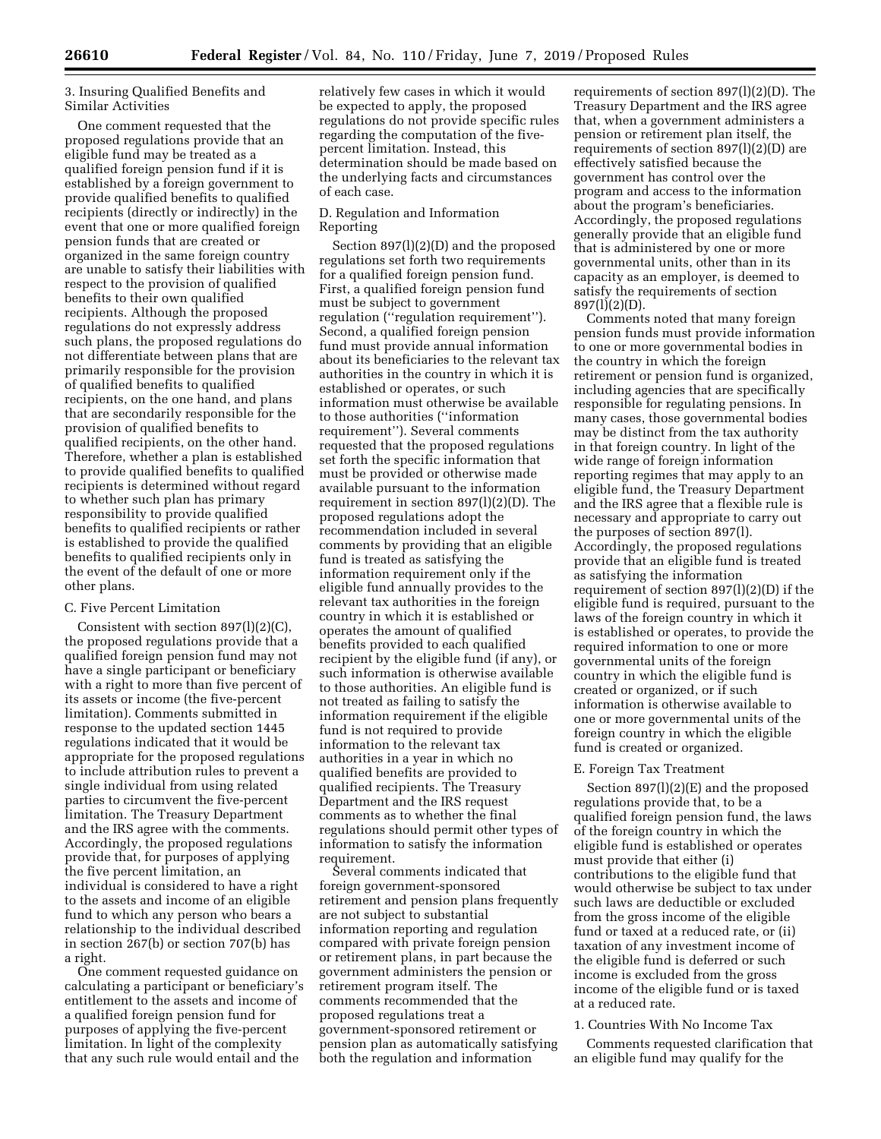# 3. Insuring Qualified Benefits and Similar Activities

One comment requested that the proposed regulations provide that an eligible fund may be treated as a qualified foreign pension fund if it is established by a foreign government to provide qualified benefits to qualified recipients (directly or indirectly) in the event that one or more qualified foreign pension funds that are created or organized in the same foreign country are unable to satisfy their liabilities with respect to the provision of qualified benefits to their own qualified recipients. Although the proposed regulations do not expressly address such plans, the proposed regulations do not differentiate between plans that are primarily responsible for the provision of qualified benefits to qualified recipients, on the one hand, and plans that are secondarily responsible for the provision of qualified benefits to qualified recipients, on the other hand. Therefore, whether a plan is established to provide qualified benefits to qualified recipients is determined without regard to whether such plan has primary responsibility to provide qualified benefits to qualified recipients or rather is established to provide the qualified benefits to qualified recipients only in the event of the default of one or more other plans.

### C. Five Percent Limitation

Consistent with section 897(l)(2)(C), the proposed regulations provide that a qualified foreign pension fund may not have a single participant or beneficiary with a right to more than five percent of its assets or income (the five-percent limitation). Comments submitted in response to the updated section 1445 regulations indicated that it would be appropriate for the proposed regulations to include attribution rules to prevent a single individual from using related parties to circumvent the five-percent limitation. The Treasury Department and the IRS agree with the comments. Accordingly, the proposed regulations provide that, for purposes of applying the five percent limitation, an individual is considered to have a right to the assets and income of an eligible fund to which any person who bears a relationship to the individual described in section 267(b) or section 707(b) has a right.

One comment requested guidance on calculating a participant or beneficiary's entitlement to the assets and income of a qualified foreign pension fund for purposes of applying the five-percent limitation. In light of the complexity that any such rule would entail and the

relatively few cases in which it would be expected to apply, the proposed regulations do not provide specific rules regarding the computation of the fivepercent limitation. Instead, this determination should be made based on the underlying facts and circumstances of each case.

# D. Regulation and Information Reporting

Section 897(l)(2)(D) and the proposed regulations set forth two requirements for a qualified foreign pension fund. First, a qualified foreign pension fund must be subject to government regulation (''regulation requirement''). Second, a qualified foreign pension fund must provide annual information about its beneficiaries to the relevant tax authorities in the country in which it is established or operates, or such information must otherwise be available to those authorities (''information requirement''). Several comments requested that the proposed regulations set forth the specific information that must be provided or otherwise made available pursuant to the information requirement in section 897(l)(2)(D). The proposed regulations adopt the recommendation included in several comments by providing that an eligible fund is treated as satisfying the information requirement only if the eligible fund annually provides to the relevant tax authorities in the foreign country in which it is established or operates the amount of qualified benefits provided to each qualified recipient by the eligible fund (if any), or such information is otherwise available to those authorities. An eligible fund is not treated as failing to satisfy the information requirement if the eligible fund is not required to provide information to the relevant tax authorities in a year in which no qualified benefits are provided to qualified recipients. The Treasury Department and the IRS request comments as to whether the final regulations should permit other types of information to satisfy the information requirement.

Several comments indicated that foreign government-sponsored retirement and pension plans frequently are not subject to substantial information reporting and regulation compared with private foreign pension or retirement plans, in part because the government administers the pension or retirement program itself. The comments recommended that the proposed regulations treat a government-sponsored retirement or pension plan as automatically satisfying both the regulation and information

requirements of section 897(l)(2)(D). The Treasury Department and the IRS agree that, when a government administers a pension or retirement plan itself, the requirements of section 897(l)(2)(D) are effectively satisfied because the government has control over the program and access to the information about the program's beneficiaries. Accordingly, the proposed regulations generally provide that an eligible fund that is administered by one or more governmental units, other than in its capacity as an employer, is deemed to satisfy the requirements of section 897(l)(2)(D).

Comments noted that many foreign pension funds must provide information to one or more governmental bodies in the country in which the foreign retirement or pension fund is organized, including agencies that are specifically responsible for regulating pensions. In many cases, those governmental bodies may be distinct from the tax authority in that foreign country. In light of the wide range of foreign information reporting regimes that may apply to an eligible fund, the Treasury Department and the IRS agree that a flexible rule is necessary and appropriate to carry out the purposes of section 897(l). Accordingly, the proposed regulations provide that an eligible fund is treated as satisfying the information requirement of section 897(l)(2)(D) if the eligible fund is required, pursuant to the laws of the foreign country in which it is established or operates, to provide the required information to one or more governmental units of the foreign country in which the eligible fund is created or organized, or if such information is otherwise available to one or more governmental units of the foreign country in which the eligible fund is created or organized.

#### E. Foreign Tax Treatment

Section 897(l)(2)(E) and the proposed regulations provide that, to be a qualified foreign pension fund, the laws of the foreign country in which the eligible fund is established or operates must provide that either (i) contributions to the eligible fund that would otherwise be subject to tax under such laws are deductible or excluded from the gross income of the eligible fund or taxed at a reduced rate, or (ii) taxation of any investment income of the eligible fund is deferred or such income is excluded from the gross income of the eligible fund or is taxed at a reduced rate.

#### 1. Countries With No Income Tax

Comments requested clarification that an eligible fund may qualify for the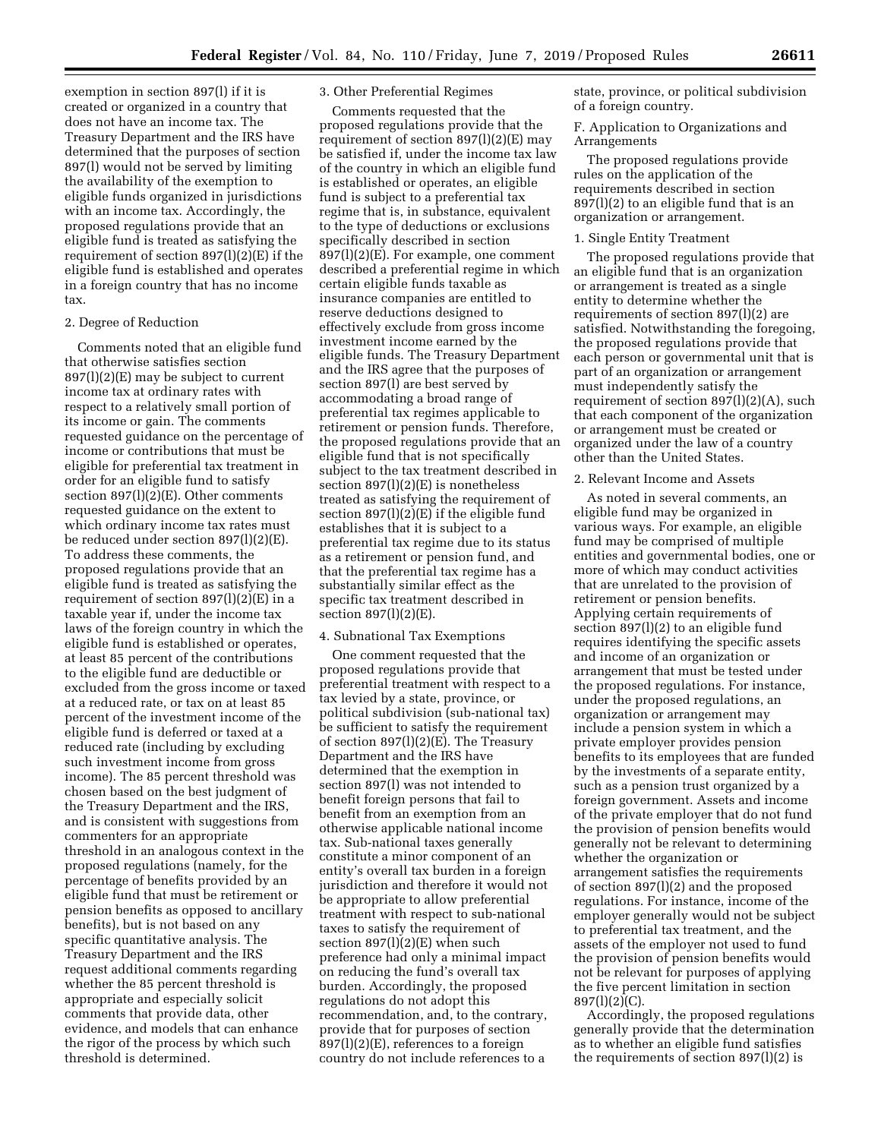exemption in section 897(l) if it is created or organized in a country that does not have an income tax. The Treasury Department and the IRS have determined that the purposes of section 897(l) would not be served by limiting the availability of the exemption to eligible funds organized in jurisdictions with an income tax. Accordingly, the proposed regulations provide that an eligible fund is treated as satisfying the requirement of section 897(l)(2)(E) if the eligible fund is established and operates in a foreign country that has no income tax.

## 2. Degree of Reduction

Comments noted that an eligible fund that otherwise satisfies section 897(l)(2)(E) may be subject to current income tax at ordinary rates with respect to a relatively small portion of its income or gain. The comments requested guidance on the percentage of income or contributions that must be eligible for preferential tax treatment in order for an eligible fund to satisfy section 897(l)(2)(E). Other comments requested guidance on the extent to which ordinary income tax rates must be reduced under section 897(l)(2)(E). To address these comments, the proposed regulations provide that an eligible fund is treated as satisfying the requirement of section  $897(1)(2)(E)$  in a taxable year if, under the income tax laws of the foreign country in which the eligible fund is established or operates, at least 85 percent of the contributions to the eligible fund are deductible or excluded from the gross income or taxed at a reduced rate, or tax on at least 85 percent of the investment income of the eligible fund is deferred or taxed at a reduced rate (including by excluding such investment income from gross income). The 85 percent threshold was chosen based on the best judgment of the Treasury Department and the IRS, and is consistent with suggestions from commenters for an appropriate threshold in an analogous context in the proposed regulations (namely, for the percentage of benefits provided by an eligible fund that must be retirement or pension benefits as opposed to ancillary benefits), but is not based on any specific quantitative analysis. The Treasury Department and the IRS request additional comments regarding whether the 85 percent threshold is appropriate and especially solicit comments that provide data, other evidence, and models that can enhance the rigor of the process by which such threshold is determined.

# 3. Other Preferential Regimes

Comments requested that the proposed regulations provide that the requirement of section 897(l)(2)(E) may be satisfied if, under the income tax law of the country in which an eligible fund is established or operates, an eligible fund is subject to a preferential tax regime that is, in substance, equivalent to the type of deductions or exclusions specifically described in section 897(l)(2)(E). For example, one comment described a preferential regime in which certain eligible funds taxable as insurance companies are entitled to reserve deductions designed to effectively exclude from gross income investment income earned by the eligible funds. The Treasury Department and the IRS agree that the purposes of section 897(l) are best served by accommodating a broad range of preferential tax regimes applicable to retirement or pension funds. Therefore, the proposed regulations provide that an eligible fund that is not specifically subject to the tax treatment described in section 897(l)(2)(E) is nonetheless treated as satisfying the requirement of section 897(l)(2)(E) if the eligible fund establishes that it is subject to a preferential tax regime due to its status as a retirement or pension fund, and that the preferential tax regime has a substantially similar effect as the specific tax treatment described in section 897(l)(2)(E).

#### 4. Subnational Tax Exemptions

One comment requested that the proposed regulations provide that preferential treatment with respect to a tax levied by a state, province, or political subdivision (sub-national tax) be sufficient to satisfy the requirement of section 897(l)(2)(E). The Treasury Department and the IRS have determined that the exemption in section 897(l) was not intended to benefit foreign persons that fail to benefit from an exemption from an otherwise applicable national income tax. Sub-national taxes generally constitute a minor component of an entity's overall tax burden in a foreign jurisdiction and therefore it would not be appropriate to allow preferential treatment with respect to sub-national taxes to satisfy the requirement of section 897(l)(2)(E) when such preference had only a minimal impact on reducing the fund's overall tax burden. Accordingly, the proposed regulations do not adopt this recommendation, and, to the contrary, provide that for purposes of section  $897(l)(2)(E)$ , references to a foreign country do not include references to a

state, province, or political subdivision of a foreign country.

F. Application to Organizations and Arrangements

The proposed regulations provide rules on the application of the requirements described in section 897(l)(2) to an eligible fund that is an organization or arrangement.

### 1. Single Entity Treatment

The proposed regulations provide that an eligible fund that is an organization or arrangement is treated as a single entity to determine whether the requirements of section 897(l)(2) are satisfied. Notwithstanding the foregoing, the proposed regulations provide that each person or governmental unit that is part of an organization or arrangement must independently satisfy the requirement of section 897(l)(2)(A), such that each component of the organization or arrangement must be created or organized under the law of a country other than the United States.

### 2. Relevant Income and Assets

As noted in several comments, an eligible fund may be organized in various ways. For example, an eligible fund may be comprised of multiple entities and governmental bodies, one or more of which may conduct activities that are unrelated to the provision of retirement or pension benefits. Applying certain requirements of section 897(l)(2) to an eligible fund requires identifying the specific assets and income of an organization or arrangement that must be tested under the proposed regulations. For instance, under the proposed regulations, an organization or arrangement may include a pension system in which a private employer provides pension benefits to its employees that are funded by the investments of a separate entity, such as a pension trust organized by a foreign government. Assets and income of the private employer that do not fund the provision of pension benefits would generally not be relevant to determining whether the organization or arrangement satisfies the requirements of section 897(l)(2) and the proposed regulations. For instance, income of the employer generally would not be subject to preferential tax treatment, and the assets of the employer not used to fund the provision of pension benefits would not be relevant for purposes of applying the five percent limitation in section 897(l)(2)(C).

Accordingly, the proposed regulations generally provide that the determination as to whether an eligible fund satisfies the requirements of section 897(l)(2) is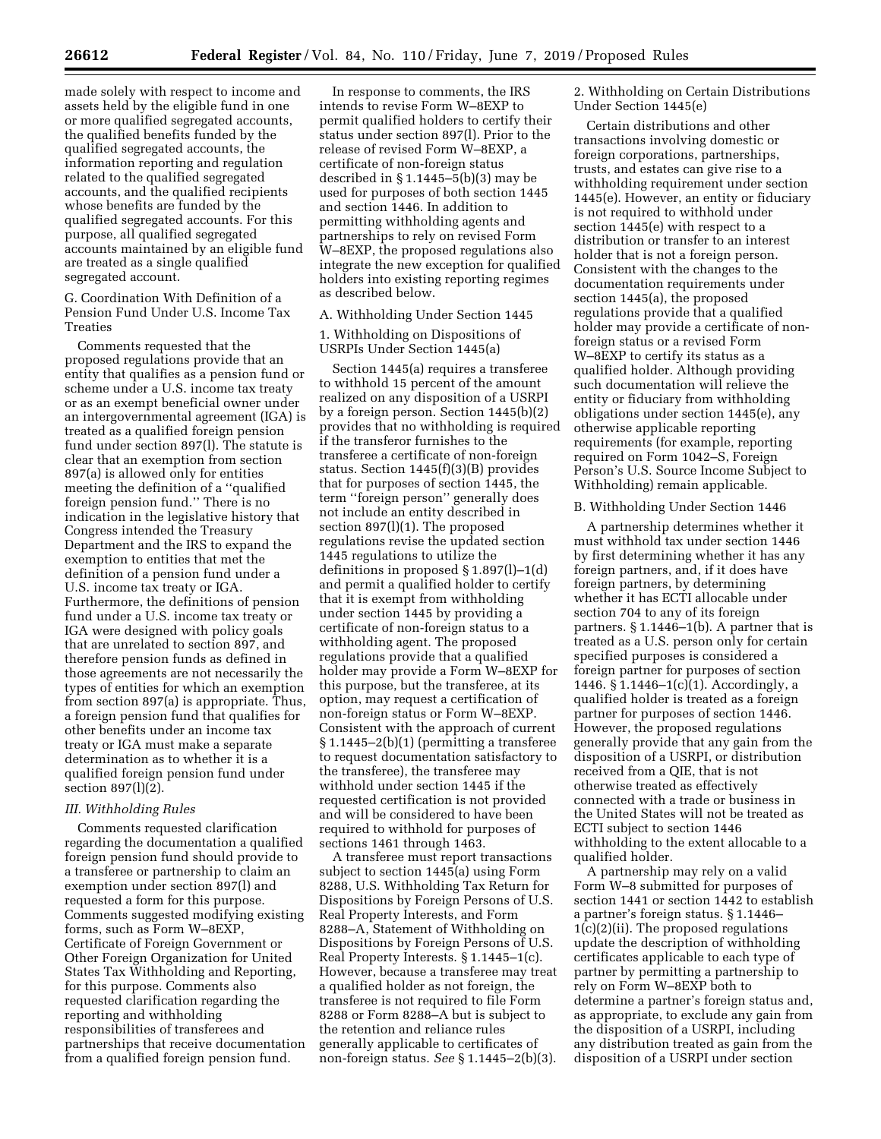made solely with respect to income and assets held by the eligible fund in one or more qualified segregated accounts, the qualified benefits funded by the qualified segregated accounts, the information reporting and regulation related to the qualified segregated accounts, and the qualified recipients whose benefits are funded by the qualified segregated accounts. For this purpose, all qualified segregated accounts maintained by an eligible fund

segregated account. G. Coordination With Definition of a Pension Fund Under U.S. Income Tax Treaties

are treated as a single qualified

Comments requested that the proposed regulations provide that an entity that qualifies as a pension fund or scheme under a U.S. income tax treaty or as an exempt beneficial owner under an intergovernmental agreement (IGA) is treated as a qualified foreign pension fund under section 897(l). The statute is clear that an exemption from section 897(a) is allowed only for entities meeting the definition of a ''qualified foreign pension fund.'' There is no indication in the legislative history that Congress intended the Treasury Department and the IRS to expand the exemption to entities that met the definition of a pension fund under a U.S. income tax treaty or IGA. Furthermore, the definitions of pension fund under a U.S. income tax treaty or IGA were designed with policy goals that are unrelated to section 897, and therefore pension funds as defined in those agreements are not necessarily the types of entities for which an exemption from section 897(a) is appropriate. Thus, a foreign pension fund that qualifies for other benefits under an income tax treaty or IGA must make a separate determination as to whether it is a qualified foreign pension fund under section 897(l)(2).

# *III. Withholding Rules*

Comments requested clarification regarding the documentation a qualified foreign pension fund should provide to a transferee or partnership to claim an exemption under section 897(l) and requested a form for this purpose. Comments suggested modifying existing forms, such as Form W–8EXP, Certificate of Foreign Government or Other Foreign Organization for United States Tax Withholding and Reporting, for this purpose. Comments also requested clarification regarding the reporting and withholding responsibilities of transferees and partnerships that receive documentation from a qualified foreign pension fund.

In response to comments, the IRS intends to revise Form W–8EXP to permit qualified holders to certify their status under section 897(l). Prior to the release of revised Form W–8EXP, a certificate of non-foreign status described in § 1.1445–5(b)(3) may be used for purposes of both section 1445 and section 1446. In addition to permitting withholding agents and partnerships to rely on revised Form W–8EXP, the proposed regulations also integrate the new exception for qualified holders into existing reporting regimes as described below.

### A. Withholding Under Section 1445

1. Withholding on Dispositions of USRPIs Under Section 1445(a)

Section 1445(a) requires a transferee to withhold 15 percent of the amount realized on any disposition of a USRPI by a foreign person. Section 1445(b)(2) provides that no withholding is required if the transferor furnishes to the transferee a certificate of non-foreign status. Section 1445(f)(3)(B) provides that for purposes of section 1445, the term ''foreign person'' generally does not include an entity described in section 897(l)(1). The proposed regulations revise the updated section 1445 regulations to utilize the definitions in proposed § 1.897(l)–1(d) and permit a qualified holder to certify that it is exempt from withholding under section 1445 by providing a certificate of non-foreign status to a withholding agent. The proposed regulations provide that a qualified holder may provide a Form W–8EXP for this purpose, but the transferee, at its option, may request a certification of non-foreign status or Form W–8EXP. Consistent with the approach of current § 1.1445–2(b)(1) (permitting a transferee to request documentation satisfactory to the transferee), the transferee may withhold under section 1445 if the requested certification is not provided and will be considered to have been required to withhold for purposes of sections 1461 through 1463.

A transferee must report transactions subject to section 1445(a) using Form 8288, U.S. Withholding Tax Return for Dispositions by Foreign Persons of U.S. Real Property Interests, and Form 8288–A, Statement of Withholding on Dispositions by Foreign Persons of U.S. Real Property Interests. § 1.1445–1(c). However, because a transferee may treat a qualified holder as not foreign, the transferee is not required to file Form 8288 or Form 8288–A but is subject to the retention and reliance rules generally applicable to certificates of non-foreign status. *See* § 1.1445–2(b)(3).

2. Withholding on Certain Distributions Under Section 1445(e)

Certain distributions and other transactions involving domestic or foreign corporations, partnerships, trusts, and estates can give rise to a withholding requirement under section 1445(e). However, an entity or fiduciary is not required to withhold under section 1445(e) with respect to a distribution or transfer to an interest holder that is not a foreign person. Consistent with the changes to the documentation requirements under section 1445(a), the proposed regulations provide that a qualified holder may provide a certificate of nonforeign status or a revised Form W–8EXP to certify its status as a qualified holder. Although providing such documentation will relieve the entity or fiduciary from withholding obligations under section 1445(e), any otherwise applicable reporting requirements (for example, reporting required on Form 1042–S, Foreign Person's U.S. Source Income Subject to Withholding) remain applicable.

#### B. Withholding Under Section 1446

A partnership determines whether it must withhold tax under section 1446 by first determining whether it has any foreign partners, and, if it does have foreign partners, by determining whether it has ECTI allocable under section 704 to any of its foreign partners. § 1.1446–1(b). A partner that is treated as a U.S. person only for certain specified purposes is considered a foreign partner for purposes of section 1446. § 1.1446–1(c)(1). Accordingly, a qualified holder is treated as a foreign partner for purposes of section 1446. However, the proposed regulations generally provide that any gain from the disposition of a USRPI, or distribution received from a QIE, that is not otherwise treated as effectively connected with a trade or business in the United States will not be treated as ECTI subject to section 1446 withholding to the extent allocable to a qualified holder.

A partnership may rely on a valid Form W–8 submitted for purposes of section 1441 or section 1442 to establish a partner's foreign status. § 1.1446– 1(c)(2)(ii). The proposed regulations update the description of withholding certificates applicable to each type of partner by permitting a partnership to rely on Form W–8EXP both to determine a partner's foreign status and, as appropriate, to exclude any gain from the disposition of a USRPI, including any distribution treated as gain from the disposition of a USRPI under section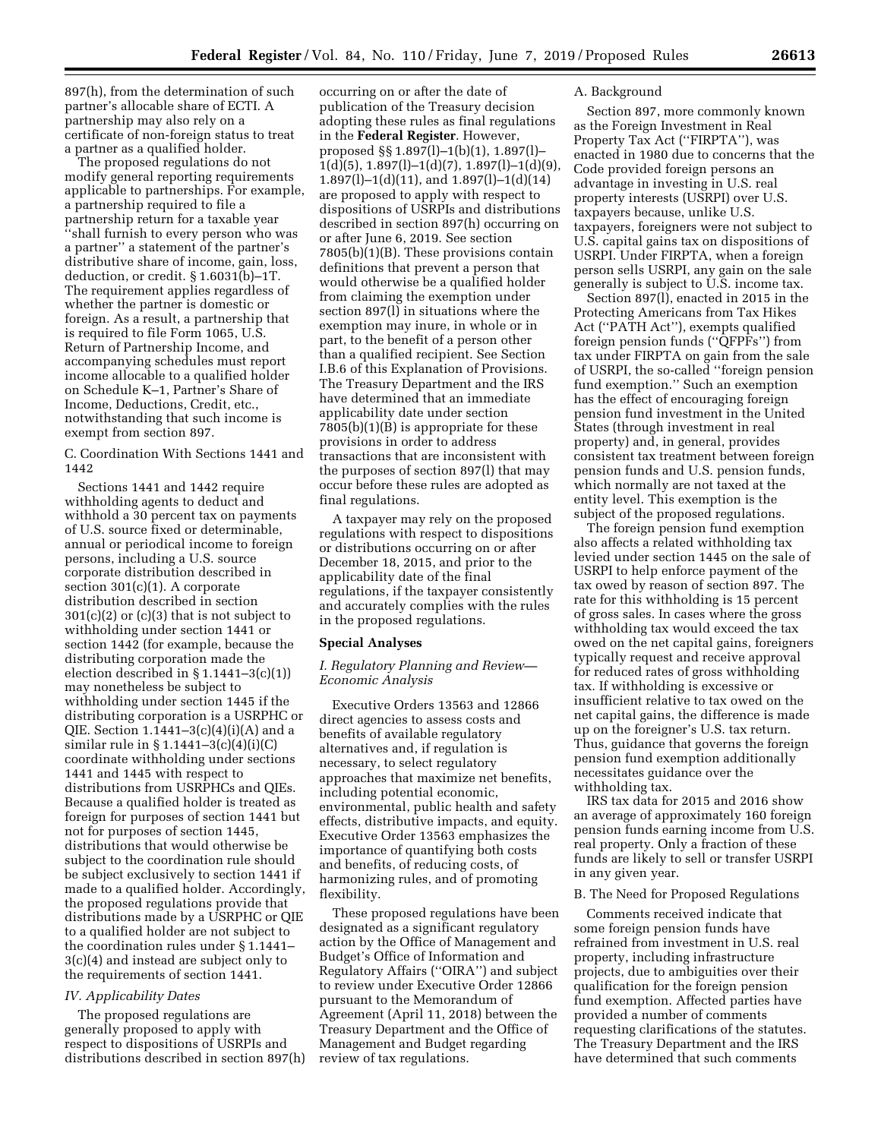897(h), from the determination of such partner's allocable share of ECTI. A partnership may also rely on a certificate of non-foreign status to treat a partner as a qualified holder.

The proposed regulations do not modify general reporting requirements applicable to partnerships. For example, a partnership required to file a partnership return for a taxable year ''shall furnish to every person who was a partner'' a statement of the partner's distributive share of income, gain, loss, deduction, or credit. § 1.6031(b)–1T. The requirement applies regardless of whether the partner is domestic or foreign. As a result, a partnership that is required to file Form 1065, U.S. Return of Partnership Income, and accompanying schedules must report income allocable to a qualified holder on Schedule K–1, Partner's Share of Income, Deductions, Credit, etc., notwithstanding that such income is exempt from section 897.

C. Coordination With Sections 1441 and 1442

Sections 1441 and 1442 require withholding agents to deduct and withhold a 30 percent tax on payments of U.S. source fixed or determinable, annual or periodical income to foreign persons, including a U.S. source corporate distribution described in section 301(c)(1). A corporate distribution described in section 301(c)(2) or (c)(3) that is not subject to withholding under section 1441 or section 1442 (for example, because the distributing corporation made the election described in § 1.1441–3(c)(1)) may nonetheless be subject to withholding under section 1445 if the distributing corporation is a USRPHC or QIE. Section  $1.1441 - 3(c)(4)(i)(A)$  and a similar rule in § 1.1441–3(c)(4)(i)(C) coordinate withholding under sections 1441 and 1445 with respect to distributions from USRPHCs and QIEs. Because a qualified holder is treated as foreign for purposes of section 1441 but not for purposes of section 1445, distributions that would otherwise be subject to the coordination rule should be subject exclusively to section 1441 if made to a qualified holder. Accordingly, the proposed regulations provide that distributions made by a USRPHC or QIE to a qualified holder are not subject to the coordination rules under § 1.1441– 3(c)(4) and instead are subject only to the requirements of section 1441.

### *IV. Applicability Dates*

The proposed regulations are generally proposed to apply with respect to dispositions of USRPIs and distributions described in section 897(h)

occurring on or after the date of publication of the Treasury decision adopting these rules as final regulations in the **Federal Register**. However, proposed §§ 1.897(l)–1(b)(1), 1.897(l)–  $1(d)(5), 1.897(l)-1(d)(7), 1.897(l)-1(d)(9),$ 1.897(l)–1(d)(11), and 1.897(l)–1(d)(14) are proposed to apply with respect to dispositions of USRPIs and distributions described in section 897(h) occurring on or after June 6, 2019. See section 7805(b)(1)(B). These provisions contain definitions that prevent a person that would otherwise be a qualified holder from claiming the exemption under section 897(l) in situations where the exemption may inure, in whole or in part, to the benefit of a person other than a qualified recipient. See Section I.B.6 of this Explanation of Provisions. The Treasury Department and the IRS have determined that an immediate applicability date under section 7805(b)(1)(B) is appropriate for these provisions in order to address transactions that are inconsistent with the purposes of section 897(l) that may occur before these rules are adopted as final regulations.

A taxpayer may rely on the proposed regulations with respect to dispositions or distributions occurring on or after December 18, 2015, and prior to the applicability date of the final regulations, if the taxpayer consistently and accurately complies with the rules in the proposed regulations.

#### **Special Analyses**

# *I. Regulatory Planning and Review— Economic Analysis*

Executive Orders 13563 and 12866 direct agencies to assess costs and benefits of available regulatory alternatives and, if regulation is necessary, to select regulatory approaches that maximize net benefits, including potential economic, environmental, public health and safety effects, distributive impacts, and equity. Executive Order 13563 emphasizes the importance of quantifying both costs and benefits, of reducing costs, of harmonizing rules, and of promoting flexibility.

These proposed regulations have been designated as a significant regulatory action by the Office of Management and Budget's Office of Information and Regulatory Affairs (''OIRA'') and subject to review under Executive Order 12866 pursuant to the Memorandum of Agreement (April 11, 2018) between the Treasury Department and the Office of Management and Budget regarding review of tax regulations.

### A. Background

Section 897, more commonly known as the Foreign Investment in Real Property Tax Act (''FIRPTA''), was enacted in 1980 due to concerns that the Code provided foreign persons an advantage in investing in U.S. real property interests (USRPI) over U.S. taxpayers because, unlike U.S. taxpayers, foreigners were not subject to U.S. capital gains tax on dispositions of USRPI. Under FIRPTA, when a foreign person sells USRPI, any gain on the sale generally is subject to U.S. income tax.

Section 897(l), enacted in 2015 in the Protecting Americans from Tax Hikes Act (''PATH Act''), exempts qualified foreign pension funds (''QFPFs'') from tax under FIRPTA on gain from the sale of USRPI, the so-called ''foreign pension fund exemption.'' Such an exemption has the effect of encouraging foreign pension fund investment in the United States (through investment in real property) and, in general, provides consistent tax treatment between foreign pension funds and U.S. pension funds, which normally are not taxed at the entity level. This exemption is the subject of the proposed regulations.

The foreign pension fund exemption also affects a related withholding tax levied under section 1445 on the sale of USRPI to help enforce payment of the tax owed by reason of section 897. The rate for this withholding is 15 percent of gross sales. In cases where the gross withholding tax would exceed the tax owed on the net capital gains, foreigners typically request and receive approval for reduced rates of gross withholding tax. If withholding is excessive or insufficient relative to tax owed on the net capital gains, the difference is made up on the foreigner's U.S. tax return. Thus, guidance that governs the foreign pension fund exemption additionally necessitates guidance over the withholding tax.

IRS tax data for 2015 and 2016 show an average of approximately 160 foreign pension funds earning income from U.S. real property. Only a fraction of these funds are likely to sell or transfer USRPI in any given year.

### B. The Need for Proposed Regulations

Comments received indicate that some foreign pension funds have refrained from investment in U.S. real property, including infrastructure projects, due to ambiguities over their qualification for the foreign pension fund exemption. Affected parties have provided a number of comments requesting clarifications of the statutes. The Treasury Department and the IRS have determined that such comments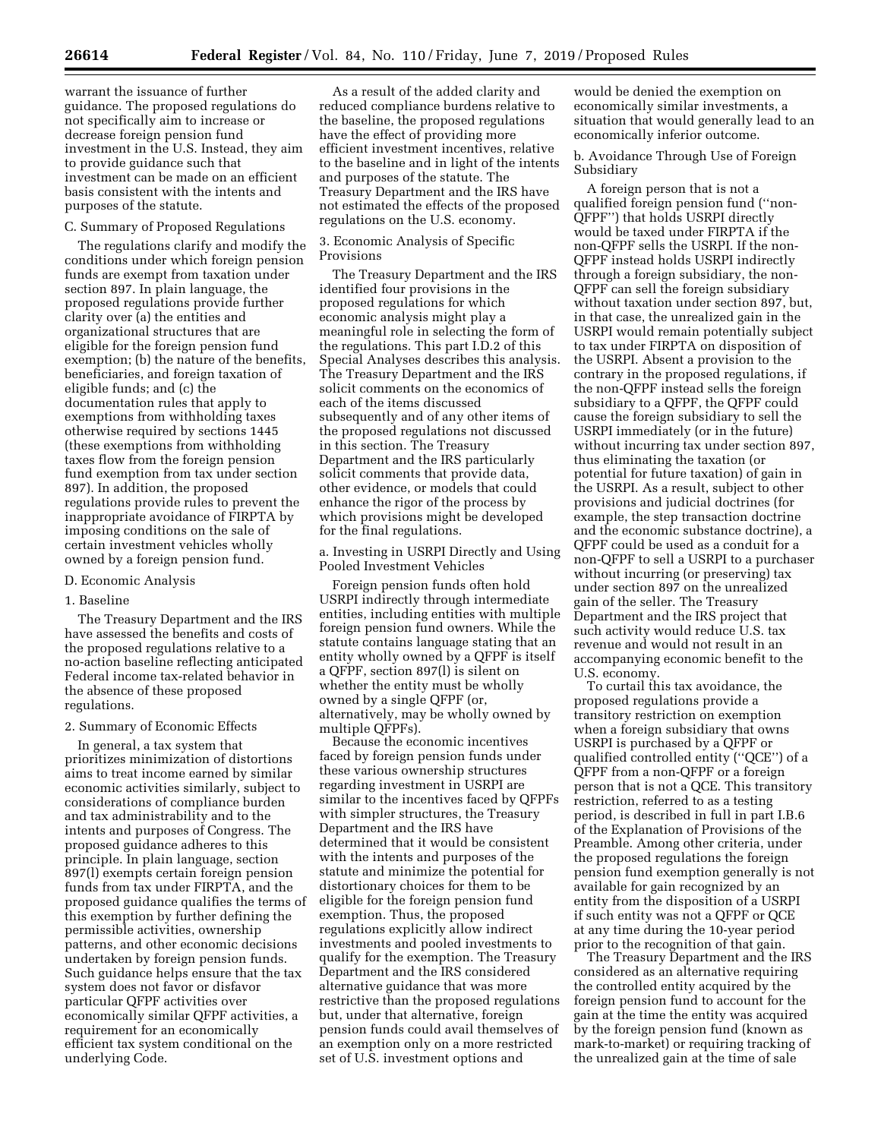warrant the issuance of further guidance. The proposed regulations do not specifically aim to increase or decrease foreign pension fund investment in the U.S. Instead, they aim to provide guidance such that investment can be made on an efficient basis consistent with the intents and purposes of the statute.

# C. Summary of Proposed Regulations

The regulations clarify and modify the conditions under which foreign pension funds are exempt from taxation under section 897. In plain language, the proposed regulations provide further clarity over (a) the entities and organizational structures that are eligible for the foreign pension fund exemption; (b) the nature of the benefits, beneficiaries, and foreign taxation of eligible funds; and (c) the documentation rules that apply to exemptions from withholding taxes otherwise required by sections 1445 (these exemptions from withholding taxes flow from the foreign pension fund exemption from tax under section 897). In addition, the proposed regulations provide rules to prevent the inappropriate avoidance of FIRPTA by imposing conditions on the sale of certain investment vehicles wholly owned by a foreign pension fund.

#### D. Economic Analysis

#### 1. Baseline

The Treasury Department and the IRS have assessed the benefits and costs of the proposed regulations relative to a no-action baseline reflecting anticipated Federal income tax-related behavior in the absence of these proposed regulations.

# 2. Summary of Economic Effects

In general, a tax system that prioritizes minimization of distortions aims to treat income earned by similar economic activities similarly, subject to considerations of compliance burden and tax administrability and to the intents and purposes of Congress. The proposed guidance adheres to this principle. In plain language, section 897(l) exempts certain foreign pension funds from tax under FIRPTA, and the proposed guidance qualifies the terms of this exemption by further defining the permissible activities, ownership patterns, and other economic decisions undertaken by foreign pension funds. Such guidance helps ensure that the tax system does not favor or disfavor particular QFPF activities over economically similar QFPF activities, a requirement for an economically efficient tax system conditional on the underlying Code.

As a result of the added clarity and reduced compliance burdens relative to the baseline, the proposed regulations have the effect of providing more efficient investment incentives, relative to the baseline and in light of the intents and purposes of the statute. The Treasury Department and the IRS have not estimated the effects of the proposed regulations on the U.S. economy.

#### 3. Economic Analysis of Specific Provisions

The Treasury Department and the IRS identified four provisions in the proposed regulations for which economic analysis might play a meaningful role in selecting the form of the regulations. This part I.D.2 of this Special Analyses describes this analysis. The Treasury Department and the IRS solicit comments on the economics of each of the items discussed subsequently and of any other items of the proposed regulations not discussed in this section. The Treasury Department and the IRS particularly solicit comments that provide data, other evidence, or models that could enhance the rigor of the process by which provisions might be developed for the final regulations.

a. Investing in USRPI Directly and Using Pooled Investment Vehicles

Foreign pension funds often hold USRPI indirectly through intermediate entities, including entities with multiple foreign pension fund owners. While the statute contains language stating that an entity wholly owned by a QFPF is itself a QFPF, section 897(l) is silent on whether the entity must be wholly owned by a single QFPF (or, alternatively, may be wholly owned by multiple QFPFs).

Because the economic incentives faced by foreign pension funds under these various ownership structures regarding investment in USRPI are similar to the incentives faced by QFPFs with simpler structures, the Treasury Department and the IRS have determined that it would be consistent with the intents and purposes of the statute and minimize the potential for distortionary choices for them to be eligible for the foreign pension fund exemption. Thus, the proposed regulations explicitly allow indirect investments and pooled investments to qualify for the exemption. The Treasury Department and the IRS considered alternative guidance that was more restrictive than the proposed regulations but, under that alternative, foreign pension funds could avail themselves of an exemption only on a more restricted set of U.S. investment options and

would be denied the exemption on economically similar investments, a situation that would generally lead to an economically inferior outcome.

b. Avoidance Through Use of Foreign Subsidiary

A foreign person that is not a qualified foreign pension fund (''non-QFPF'') that holds USRPI directly would be taxed under FIRPTA if the non-QFPF sells the USRPI. If the non-QFPF instead holds USRPI indirectly through a foreign subsidiary, the non-QFPF can sell the foreign subsidiary without taxation under section 897, but, in that case, the unrealized gain in the USRPI would remain potentially subject to tax under FIRPTA on disposition of the USRPI. Absent a provision to the contrary in the proposed regulations, if the non-QFPF instead sells the foreign subsidiary to a QFPF, the QFPF could cause the foreign subsidiary to sell the USRPI immediately (or in the future) without incurring tax under section 897, thus eliminating the taxation (or potential for future taxation) of gain in the USRPI. As a result, subject to other provisions and judicial doctrines (for example, the step transaction doctrine and the economic substance doctrine), a QFPF could be used as a conduit for a non-QFPF to sell a USRPI to a purchaser without incurring (or preserving) tax under section 897 on the unrealized gain of the seller. The Treasury Department and the IRS project that such activity would reduce U.S. tax revenue and would not result in an accompanying economic benefit to the U.S. economy.

To curtail this tax avoidance, the proposed regulations provide a transitory restriction on exemption when a foreign subsidiary that owns USRPI is purchased by a QFPF or qualified controlled entity (''QCE'') of a QFPF from a non-QFPF or a foreign person that is not a QCE. This transitory restriction, referred to as a testing period, is described in full in part I.B.6 of the Explanation of Provisions of the Preamble. Among other criteria, under the proposed regulations the foreign pension fund exemption generally is not available for gain recognized by an entity from the disposition of a USRPI if such entity was not a QFPF or QCE at any time during the 10-year period prior to the recognition of that gain.

The Treasury Department and the IRS considered as an alternative requiring the controlled entity acquired by the foreign pension fund to account for the gain at the time the entity was acquired by the foreign pension fund (known as mark-to-market) or requiring tracking of the unrealized gain at the time of sale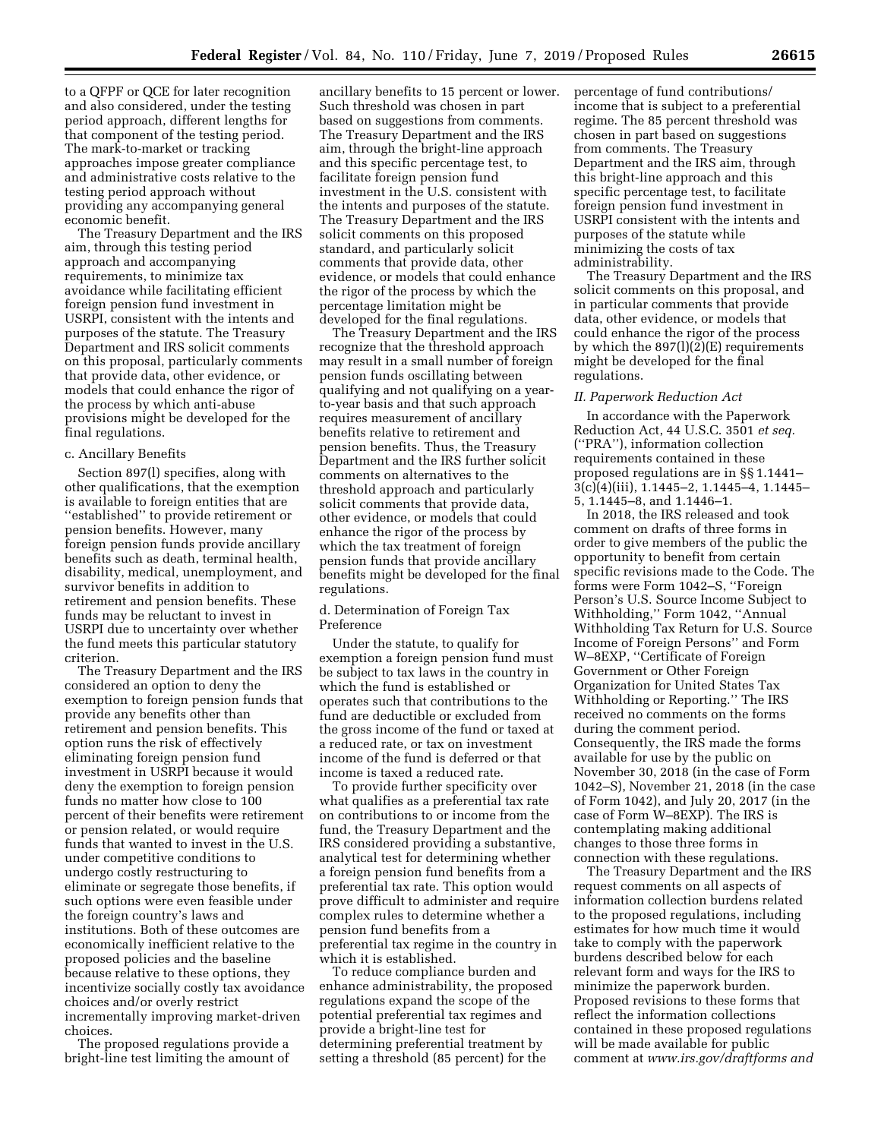to a QFPF or QCE for later recognition and also considered, under the testing period approach, different lengths for that component of the testing period. The mark-to-market or tracking approaches impose greater compliance and administrative costs relative to the testing period approach without providing any accompanying general economic benefit.

The Treasury Department and the IRS aim, through this testing period approach and accompanying requirements, to minimize tax avoidance while facilitating efficient foreign pension fund investment in USRPI, consistent with the intents and purposes of the statute. The Treasury Department and IRS solicit comments on this proposal, particularly comments that provide data, other evidence, or models that could enhance the rigor of the process by which anti-abuse provisions might be developed for the final regulations.

#### c. Ancillary Benefits

Section 897(l) specifies, along with other qualifications, that the exemption is available to foreign entities that are ''established'' to provide retirement or pension benefits. However, many foreign pension funds provide ancillary benefits such as death, terminal health, disability, medical, unemployment, and survivor benefits in addition to retirement and pension benefits. These funds may be reluctant to invest in USRPI due to uncertainty over whether the fund meets this particular statutory criterion.

The Treasury Department and the IRS considered an option to deny the exemption to foreign pension funds that provide any benefits other than retirement and pension benefits. This option runs the risk of effectively eliminating foreign pension fund investment in USRPI because it would deny the exemption to foreign pension funds no matter how close to 100 percent of their benefits were retirement or pension related, or would require funds that wanted to invest in the U.S. under competitive conditions to undergo costly restructuring to eliminate or segregate those benefits, if such options were even feasible under the foreign country's laws and institutions. Both of these outcomes are economically inefficient relative to the proposed policies and the baseline because relative to these options, they incentivize socially costly tax avoidance choices and/or overly restrict incrementally improving market-driven choices.

The proposed regulations provide a bright-line test limiting the amount of

ancillary benefits to 15 percent or lower. Such threshold was chosen in part based on suggestions from comments. The Treasury Department and the IRS aim, through the bright-line approach and this specific percentage test, to facilitate foreign pension fund investment in the U.S. consistent with the intents and purposes of the statute. The Treasury Department and the IRS solicit comments on this proposed standard, and particularly solicit comments that provide data, other evidence, or models that could enhance the rigor of the process by which the percentage limitation might be developed for the final regulations.

The Treasury Department and the IRS recognize that the threshold approach may result in a small number of foreign pension funds oscillating between qualifying and not qualifying on a yearto-year basis and that such approach requires measurement of ancillary benefits relative to retirement and pension benefits. Thus, the Treasury Department and the IRS further solicit comments on alternatives to the threshold approach and particularly solicit comments that provide data, other evidence, or models that could enhance the rigor of the process by which the tax treatment of foreign pension funds that provide ancillary benefits might be developed for the final regulations.

# d. Determination of Foreign Tax Preference

Under the statute, to qualify for exemption a foreign pension fund must be subject to tax laws in the country in which the fund is established or operates such that contributions to the fund are deductible or excluded from the gross income of the fund or taxed at a reduced rate, or tax on investment income of the fund is deferred or that income is taxed a reduced rate.

To provide further specificity over what qualifies as a preferential tax rate on contributions to or income from the fund, the Treasury Department and the IRS considered providing a substantive, analytical test for determining whether a foreign pension fund benefits from a preferential tax rate. This option would prove difficult to administer and require complex rules to determine whether a pension fund benefits from a preferential tax regime in the country in which it is established.

To reduce compliance burden and enhance administrability, the proposed regulations expand the scope of the potential preferential tax regimes and provide a bright-line test for determining preferential treatment by setting a threshold (85 percent) for the

percentage of fund contributions/ income that is subject to a preferential regime. The 85 percent threshold was chosen in part based on suggestions from comments. The Treasury Department and the IRS aim, through this bright-line approach and this specific percentage test, to facilitate foreign pension fund investment in USRPI consistent with the intents and purposes of the statute while minimizing the costs of tax administrability.

The Treasury Department and the IRS solicit comments on this proposal, and in particular comments that provide data, other evidence, or models that could enhance the rigor of the process by which the  $897(1)(2)(E)$  requirements might be developed for the final regulations.

#### *II. Paperwork Reduction Act*

In accordance with the Paperwork Reduction Act, 44 U.S.C. 3501 *et seq.*  (''PRA''), information collection requirements contained in these proposed regulations are in §§ 1.1441– 3(c)(4)(iii), 1.1445–2, 1.1445–4, 1.1445– 5, 1.1445–8, and 1.1446–1.

In 2018, the IRS released and took comment on drafts of three forms in order to give members of the public the opportunity to benefit from certain specific revisions made to the Code. The forms were Form 1042–S, ''Foreign Person's U.S. Source Income Subject to Withholding,'' Form 1042, ''Annual Withholding Tax Return for U.S. Source Income of Foreign Persons'' and Form W–8EXP, ''Certificate of Foreign Government or Other Foreign Organization for United States Tax Withholding or Reporting.'' The IRS received no comments on the forms during the comment period. Consequently, the IRS made the forms available for use by the public on November 30, 2018 (in the case of Form 1042–S), November 21, 2018 (in the case of Form 1042), and July 20, 2017 (in the case of Form W–8EXP). The IRS is contemplating making additional changes to those three forms in connection with these regulations.

The Treasury Department and the IRS request comments on all aspects of information collection burdens related to the proposed regulations, including estimates for how much time it would take to comply with the paperwork burdens described below for each relevant form and ways for the IRS to minimize the paperwork burden. Proposed revisions to these forms that reflect the information collections contained in these proposed regulations will be made available for public comment at *[www.irs.gov/draftforms](http://www.irs.gov/draftforms) and*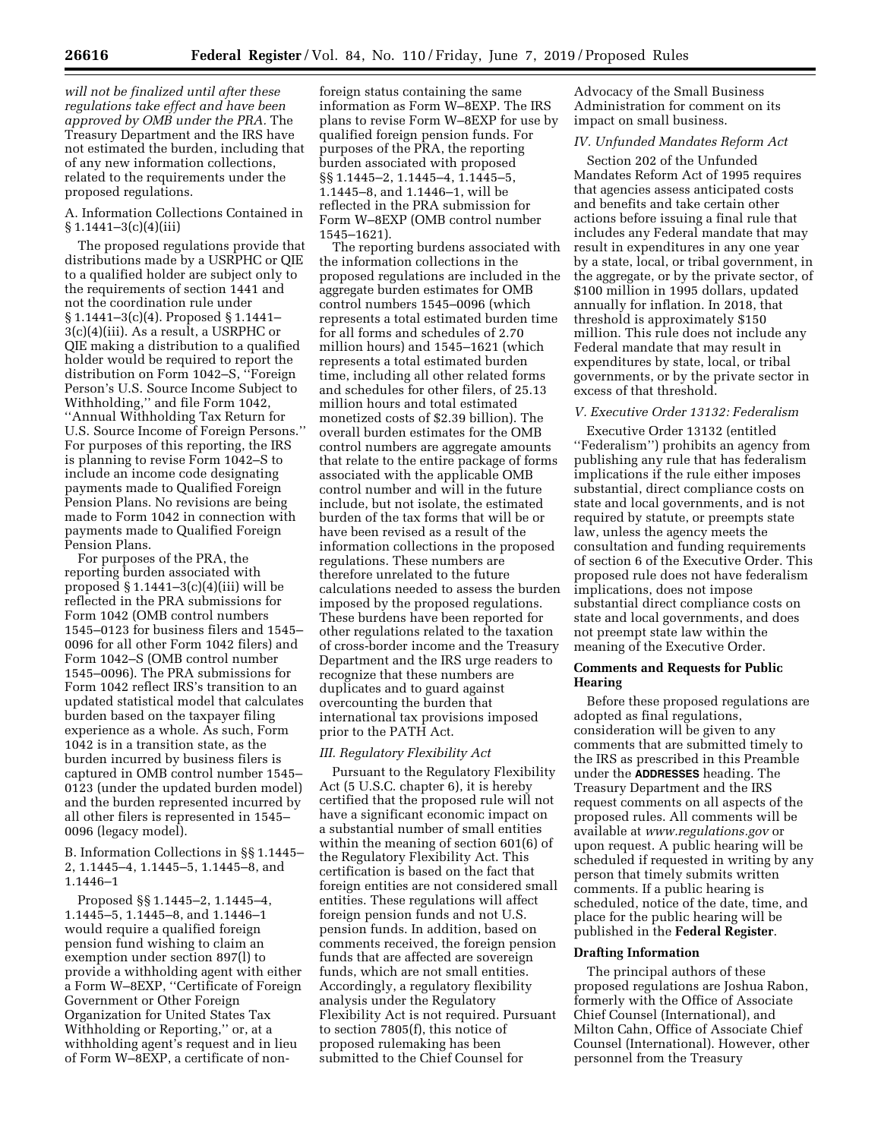*will not be finalized until after these regulations take effect and have been approved by OMB under the PRA.* The Treasury Department and the IRS have not estimated the burden, including that of any new information collections, related to the requirements under the proposed regulations.

A. Information Collections Contained in  $§ 1.1441 - 3(c)(4)(iii)$ 

The proposed regulations provide that distributions made by a USRPHC or QIE to a qualified holder are subject only to the requirements of section 1441 and not the coordination rule under § 1.1441–3(c)(4). Proposed § 1.1441– 3(c)(4)(iii). As a result, a USRPHC or QIE making a distribution to a qualified holder would be required to report the distribution on Form 1042–S, ''Foreign Person's U.S. Source Income Subject to Withholding,'' and file Form 1042, ''Annual Withholding Tax Return for U.S. Source Income of Foreign Persons.'' For purposes of this reporting, the IRS is planning to revise Form 1042–S to include an income code designating payments made to Qualified Foreign Pension Plans. No revisions are being made to Form 1042 in connection with payments made to Qualified Foreign Pension Plans.

For purposes of the PRA, the reporting burden associated with proposed  $\S 1.1441 - 3(c)(4)(iii)$  will be reflected in the PRA submissions for Form 1042 (OMB control numbers 1545–0123 for business filers and 1545– 0096 for all other Form 1042 filers) and Form 1042–S (OMB control number 1545–0096). The PRA submissions for Form 1042 reflect IRS's transition to an updated statistical model that calculates burden based on the taxpayer filing experience as a whole. As such, Form 1042 is in a transition state, as the burden incurred by business filers is captured in OMB control number 1545– 0123 (under the updated burden model) and the burden represented incurred by all other filers is represented in 1545– 0096 (legacy model).

B. Information Collections in §§ 1.1445– 2, 1.1445–4, 1.1445–5, 1.1445–8, and 1.1446–1

Proposed §§ 1.1445–2, 1.1445–4, 1.1445–5, 1.1445–8, and 1.1446–1 would require a qualified foreign pension fund wishing to claim an exemption under section 897(l) to provide a withholding agent with either a Form W–8EXP, ''Certificate of Foreign Government or Other Foreign Organization for United States Tax Withholding or Reporting,'' or, at a withholding agent's request and in lieu of Form W–8EXP, a certificate of non-

foreign status containing the same information as Form W–8EXP. The IRS plans to revise Form W–8EXP for use by qualified foreign pension funds. For purposes of the PRA, the reporting burden associated with proposed §§ 1.1445–2, 1.1445–4, 1.1445–5, 1.1445–8, and 1.1446–1, will be reflected in the PRA submission for Form W–8EXP (OMB control number 1545–1621).

The reporting burdens associated with the information collections in the proposed regulations are included in the aggregate burden estimates for OMB control numbers 1545–0096 (which represents a total estimated burden time for all forms and schedules of 2.70 million hours) and 1545–1621 (which represents a total estimated burden time, including all other related forms and schedules for other filers, of 25.13 million hours and total estimated monetized costs of \$2.39 billion). The overall burden estimates for the OMB control numbers are aggregate amounts that relate to the entire package of forms associated with the applicable OMB control number and will in the future include, but not isolate, the estimated burden of the tax forms that will be or have been revised as a result of the information collections in the proposed regulations. These numbers are therefore unrelated to the future calculations needed to assess the burden imposed by the proposed regulations. These burdens have been reported for other regulations related to the taxation of cross-border income and the Treasury Department and the IRS urge readers to recognize that these numbers are duplicates and to guard against overcounting the burden that international tax provisions imposed prior to the PATH Act.

# *III. Regulatory Flexibility Act*

Pursuant to the Regulatory Flexibility Act (5 U.S.C. chapter 6), it is hereby certified that the proposed rule will not have a significant economic impact on a substantial number of small entities within the meaning of section 601(6) of the Regulatory Flexibility Act. This certification is based on the fact that foreign entities are not considered small entities. These regulations will affect foreign pension funds and not U.S. pension funds. In addition, based on comments received, the foreign pension funds that are affected are sovereign funds, which are not small entities. Accordingly, a regulatory flexibility analysis under the Regulatory Flexibility Act is not required. Pursuant to section 7805(f), this notice of proposed rulemaking has been submitted to the Chief Counsel for

Advocacy of the Small Business Administration for comment on its impact on small business.

# *IV. Unfunded Mandates Reform Act*

Section 202 of the Unfunded Mandates Reform Act of 1995 requires that agencies assess anticipated costs and benefits and take certain other actions before issuing a final rule that includes any Federal mandate that may result in expenditures in any one year by a state, local, or tribal government, in the aggregate, or by the private sector, of \$100 million in 1995 dollars, updated annually for inflation. In 2018, that threshold is approximately \$150 million. This rule does not include any Federal mandate that may result in expenditures by state, local, or tribal governments, or by the private sector in excess of that threshold.

# *V. Executive Order 13132: Federalism*

Executive Order 13132 (entitled ''Federalism'') prohibits an agency from publishing any rule that has federalism implications if the rule either imposes substantial, direct compliance costs on state and local governments, and is not required by statute, or preempts state law, unless the agency meets the consultation and funding requirements of section 6 of the Executive Order. This proposed rule does not have federalism implications, does not impose substantial direct compliance costs on state and local governments, and does not preempt state law within the meaning of the Executive Order.

### **Comments and Requests for Public Hearing**

Before these proposed regulations are adopted as final regulations, consideration will be given to any comments that are submitted timely to the IRS as prescribed in this Preamble under the **ADDRESSES** heading. The Treasury Department and the IRS request comments on all aspects of the proposed rules. All comments will be available at *[www.regulations.gov](http://www.regulations.gov)* or upon request. A public hearing will be scheduled if requested in writing by any person that timely submits written comments. If a public hearing is scheduled, notice of the date, time, and place for the public hearing will be published in the **Federal Register**.

### **Drafting Information**

The principal authors of these proposed regulations are Joshua Rabon, formerly with the Office of Associate Chief Counsel (International), and Milton Cahn, Office of Associate Chief Counsel (International). However, other personnel from the Treasury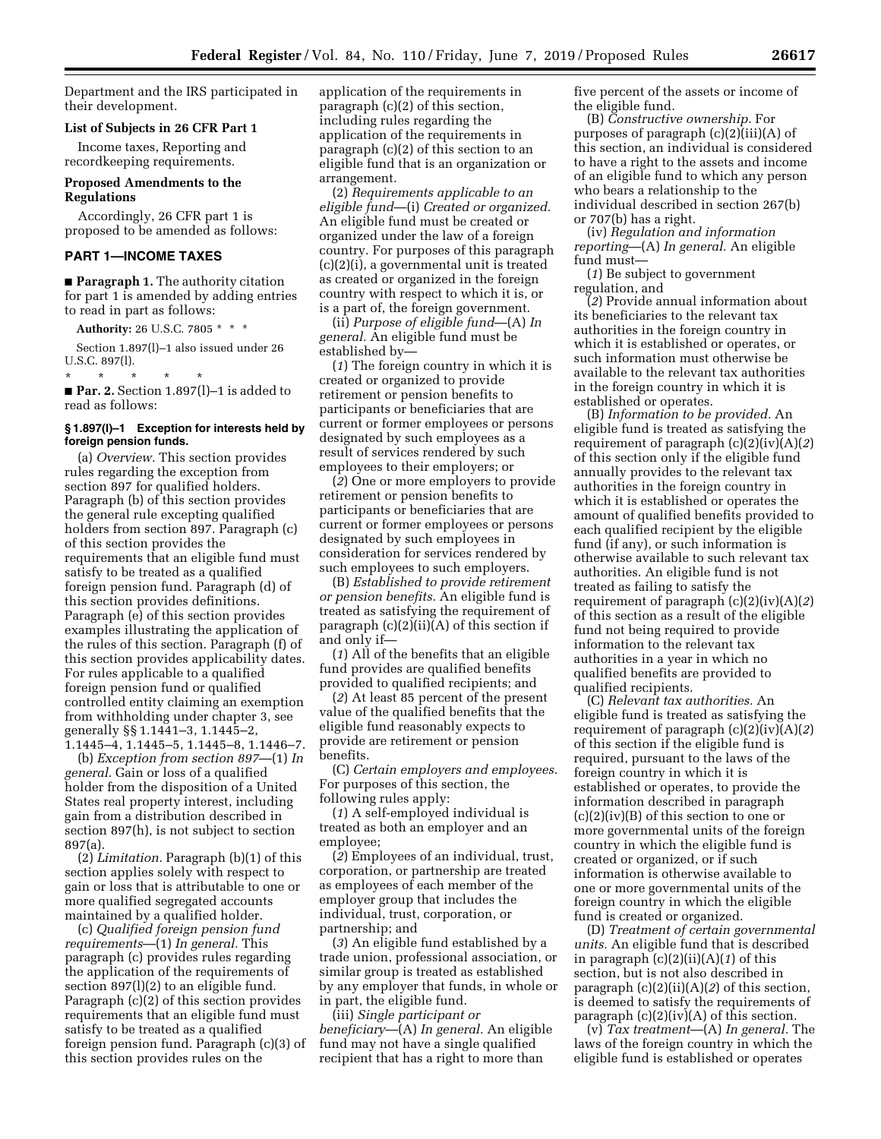Department and the IRS participated in their development.

### **List of Subjects in 26 CFR Part 1**

Income taxes, Reporting and recordkeeping requirements.

### **Proposed Amendments to the Regulations**

Accordingly, 26 CFR part 1 is proposed to be amended as follows:

#### **PART 1—INCOME TAXES**

■ **Paragraph 1.** The authority citation for part 1 is amended by adding entries to read in part as follows:

**Authority:** 26 U.S.C. 7805 \* \* \*

Section 1.897(l)–1 also issued under 26 U.S.C. 897(l).

\* \* \* \* \* ■ **Par. 2.** Section 1.897(1)–1 is added to read as follows:

#### **§ 1.897(l)–1 Exception for interests held by foreign pension funds.**

(a) *Overview.* This section provides rules regarding the exception from section 897 for qualified holders. Paragraph (b) of this section provides the general rule excepting qualified holders from section 897. Paragraph (c) of this section provides the requirements that an eligible fund must satisfy to be treated as a qualified foreign pension fund. Paragraph (d) of this section provides definitions. Paragraph (e) of this section provides examples illustrating the application of the rules of this section. Paragraph (f) of this section provides applicability dates. For rules applicable to a qualified foreign pension fund or qualified controlled entity claiming an exemption from withholding under chapter 3, see generally §§ 1.1441–3, 1.1445–2, 1.1445–4, 1.1445–5, 1.1445–8, 1.1446–7.

(b) *Exception from section 897*—(1) *In general.* Gain or loss of a qualified holder from the disposition of a United States real property interest, including gain from a distribution described in section 897(h), is not subject to section 897(a).

(2) *Limitation.* Paragraph (b)(1) of this section applies solely with respect to gain or loss that is attributable to one or more qualified segregated accounts maintained by a qualified holder.

(c) *Qualified foreign pension fund requirements*—(1) *In general.* This paragraph (c) provides rules regarding the application of the requirements of section 897(l)(2) to an eligible fund. Paragraph (c)(2) of this section provides requirements that an eligible fund must satisfy to be treated as a qualified foreign pension fund. Paragraph (c)(3) of this section provides rules on the

application of the requirements in paragraph (c)(2) of this section, including rules regarding the application of the requirements in paragraph (c)(2) of this section to an eligible fund that is an organization or arrangement.

(2) *Requirements applicable to an eligible fund*—(i) *Created or organized.*  An eligible fund must be created or organized under the law of a foreign country. For purposes of this paragraph (c)(2)(i), a governmental unit is treated as created or organized in the foreign country with respect to which it is, or is a part of, the foreign government.

(ii) *Purpose of eligible fund*—(A) *In general.* An eligible fund must be established by—

(*1*) The foreign country in which it is created or organized to provide retirement or pension benefits to participants or beneficiaries that are current or former employees or persons designated by such employees as a result of services rendered by such employees to their employers; or

(*2*) One or more employers to provide retirement or pension benefits to participants or beneficiaries that are current or former employees or persons designated by such employees in consideration for services rendered by such employees to such employers.

(B) *Established to provide retirement or pension benefits.* An eligible fund is treated as satisfying the requirement of paragraph  $(c)(2)(ii)(A)$  of this section if and only if—

(*1*) All of the benefits that an eligible fund provides are qualified benefits provided to qualified recipients; and

(*2*) At least 85 percent of the present value of the qualified benefits that the eligible fund reasonably expects to provide are retirement or pension benefits.

(C) *Certain employers and employees.*  For purposes of this section, the following rules apply:

(*1*) A self-employed individual is treated as both an employer and an employee;

(*2*) Employees of an individual, trust, corporation, or partnership are treated as employees of each member of the employer group that includes the individual, trust, corporation, or partnership; and

(*3*) An eligible fund established by a trade union, professional association, or similar group is treated as established by any employer that funds, in whole or in part, the eligible fund.

(iii) *Single participant or beneficiary*—(A) *In general.* An eligible fund may not have a single qualified recipient that has a right to more than

five percent of the assets or income of the eligible fund.

(B) *Constructive ownership.* For purposes of paragraph (c)(2)(iii)(A) of this section, an individual is considered to have a right to the assets and income of an eligible fund to which any person who bears a relationship to the individual described in section 267(b) or 707(b) has a right.

(iv) *Regulation and information reporting*—(A) *In general.* An eligible fund must—

(*1*) Be subject to government regulation, and

(*2*) Provide annual information about its beneficiaries to the relevant tax authorities in the foreign country in which it is established or operates, or such information must otherwise be available to the relevant tax authorities in the foreign country in which it is established or operates.

(B) *Information to be provided.* An eligible fund is treated as satisfying the requirement of paragraph (c)(2)(iv)(A)(*2*) of this section only if the eligible fund annually provides to the relevant tax authorities in the foreign country in which it is established or operates the amount of qualified benefits provided to each qualified recipient by the eligible fund (if any), or such information is otherwise available to such relevant tax authorities. An eligible fund is not treated as failing to satisfy the requirement of paragraph (c)(2)(iv)(A)(*2*) of this section as a result of the eligible fund not being required to provide information to the relevant tax authorities in a year in which no qualified benefits are provided to qualified recipients.

(C) *Relevant tax authorities.* An eligible fund is treated as satisfying the requirement of paragraph (c)(2)(iv)(A)(*2*) of this section if the eligible fund is required, pursuant to the laws of the foreign country in which it is established or operates, to provide the information described in paragraph  $(c)(2)(iv)(B)$  of this section to one or more governmental units of the foreign country in which the eligible fund is created or organized, or if such information is otherwise available to one or more governmental units of the foreign country in which the eligible fund is created or organized.

(D) *Treatment of certain governmental units.* An eligible fund that is described in paragraph (c)(2)(ii)(A)(*1*) of this section, but is not also described in paragraph (c)(2)(ii)(A)(*2*) of this section, is deemed to satisfy the requirements of paragraph (c)(2)(iv)(A) of this section.

(v) *Tax treatment*—(A) *In general.* The laws of the foreign country in which the eligible fund is established or operates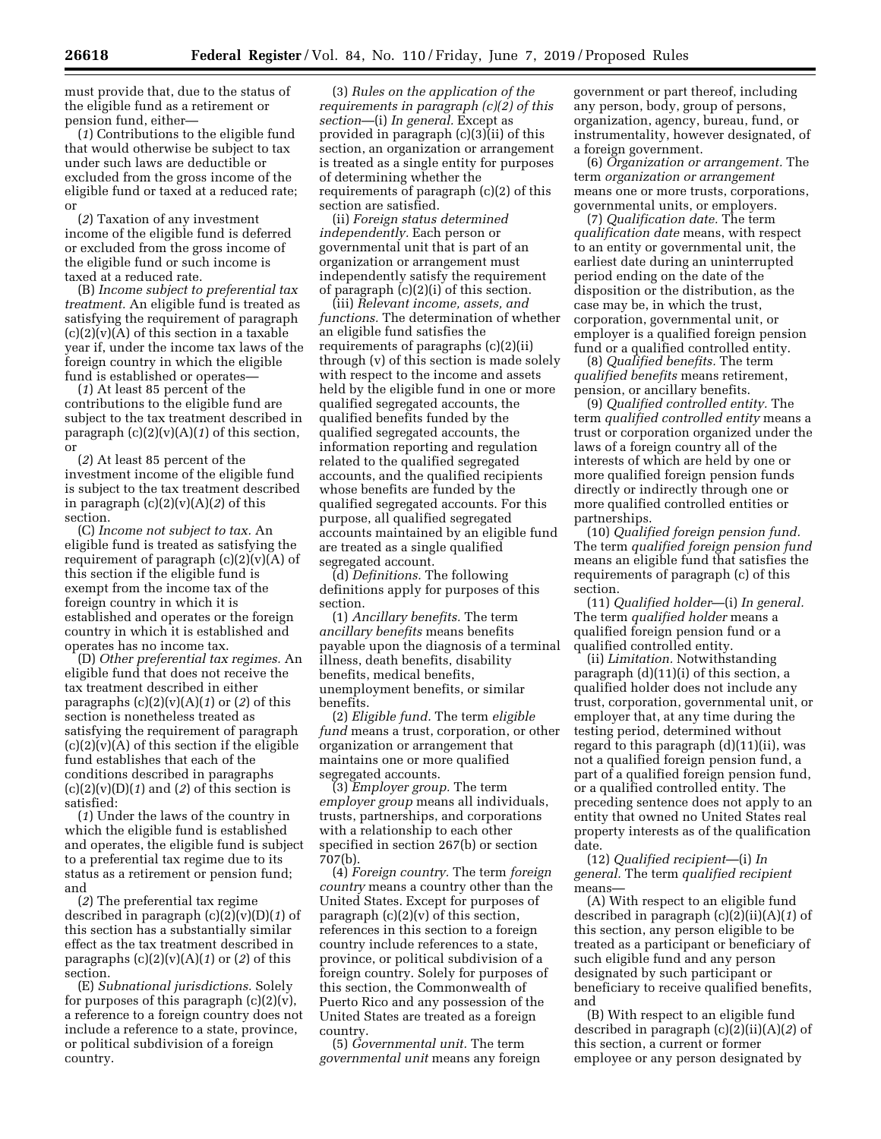must provide that, due to the status of the eligible fund as a retirement or pension fund, either—

(*1*) Contributions to the eligible fund that would otherwise be subject to tax under such laws are deductible or excluded from the gross income of the eligible fund or taxed at a reduced rate; or

(*2*) Taxation of any investment income of the eligible fund is deferred or excluded from the gross income of the eligible fund or such income is taxed at a reduced rate.

(B) *Income subject to preferential tax treatment.* An eligible fund is treated as satisfying the requirement of paragraph  $(c)(2)(v)(A)$  of this section in a taxable year if, under the income tax laws of the foreign country in which the eligible fund is established or operates—

(*1*) At least 85 percent of the contributions to the eligible fund are subject to the tax treatment described in paragraph  $(c)(2)(v)(A)(1)$  of this section, or

(*2*) At least 85 percent of the investment income of the eligible fund is subject to the tax treatment described in paragraph (c)(2)(v)(A)(*2*) of this section.

(C) *Income not subject to tax.* An eligible fund is treated as satisfying the requirement of paragraph  $(c)(2)(v)(A)$  of this section if the eligible fund is exempt from the income tax of the foreign country in which it is established and operates or the foreign country in which it is established and operates has no income tax.

(D) *Other preferential tax regimes.* An eligible fund that does not receive the tax treatment described in either paragraphs  $(c)(2)(v)(A)(1)$  or  $(2)$  of this section is nonetheless treated as satisfying the requirement of paragraph  $(c)(2)(v)(A)$  of this section if the eligible fund establishes that each of the conditions described in paragraphs  $(c)(2)(v)(D)(1)$  and  $(2)$  of this section is satisfied:

(*1*) Under the laws of the country in which the eligible fund is established and operates, the eligible fund is subject to a preferential tax regime due to its status as a retirement or pension fund; and

(*2*) The preferential tax regime described in paragraph (c)(2)(v)(D)(*1*) of this section has a substantially similar effect as the tax treatment described in paragraphs (c)(2)(v)(A)(*1*) or (*2*) of this section.

(E) *Subnational jurisdictions.* Solely for purposes of this paragraph (c)(2)(v), a reference to a foreign country does not include a reference to a state, province, or political subdivision of a foreign country.

(3) *Rules on the application of the requirements in paragraph (c)(2) of this section*—(i) *In general.* Except as provided in paragraph (c)(3)(ii) of this section, an organization or arrangement is treated as a single entity for purposes of determining whether the requirements of paragraph (c)(2) of this section are satisfied.

(ii) *Foreign status determined independently.* Each person or governmental unit that is part of an organization or arrangement must independently satisfy the requirement of paragraph (c)(2)(i) of this section.

(iii) *Relevant income, assets, and functions.* The determination of whether an eligible fund satisfies the requirements of paragraphs (c)(2)(ii) through (v) of this section is made solely with respect to the income and assets held by the eligible fund in one or more qualified segregated accounts, the qualified benefits funded by the qualified segregated accounts, the information reporting and regulation related to the qualified segregated accounts, and the qualified recipients whose benefits are funded by the qualified segregated accounts. For this purpose, all qualified segregated accounts maintained by an eligible fund are treated as a single qualified segregated account.

(d) *Definitions.* The following definitions apply for purposes of this section.

(1) *Ancillary benefits.* The term *ancillary benefits* means benefits payable upon the diagnosis of a terminal illness, death benefits, disability benefits, medical benefits, unemployment benefits, or similar benefits.

(2) *Eligible fund.* The term *eligible fund* means a trust, corporation, or other organization or arrangement that maintains one or more qualified segregated accounts.

(3) *Employer group.* The term *employer group* means all individuals, trusts, partnerships, and corporations with a relationship to each other specified in section 267(b) or section 707(b).

(4) *Foreign country.* The term *foreign country* means a country other than the United States. Except for purposes of paragraph  $(c)(2)(v)$  of this section, references in this section to a foreign country include references to a state, province, or political subdivision of a foreign country. Solely for purposes of this section, the Commonwealth of Puerto Rico and any possession of the United States are treated as a foreign country.

(5) *Governmental unit.* The term *governmental unit* means any foreign

government or part thereof, including any person, body, group of persons, organization, agency, bureau, fund, or instrumentality, however designated, of a foreign government.

(6) *Organization or arrangement.* The term *organization or arrangement*  means one or more trusts, corporations, governmental units, or employers.

(7) *Qualification date.* The term *qualification date* means, with respect to an entity or governmental unit, the earliest date during an uninterrupted period ending on the date of the disposition or the distribution, as the case may be, in which the trust, corporation, governmental unit, or employer is a qualified foreign pension fund or a qualified controlled entity.

(8) *Qualified benefits.* The term *qualified benefits* means retirement, pension, or ancillary benefits.

(9) *Qualified controlled entity.* The term *qualified controlled entity* means a trust or corporation organized under the laws of a foreign country all of the interests of which are held by one or more qualified foreign pension funds directly or indirectly through one or more qualified controlled entities or partnerships.

(10) *Qualified foreign pension fund.*  The term *qualified foreign pension fund*  means an eligible fund that satisfies the requirements of paragraph (c) of this section.

(11) *Qualified holder*—(i) *In general.*  The term *qualified holder* means a qualified foreign pension fund or a qualified controlled entity.

(ii) *Limitation.* Notwithstanding paragraph (d)(11)(i) of this section, a qualified holder does not include any trust, corporation, governmental unit, or employer that, at any time during the testing period, determined without regard to this paragraph (d)(11)(ii), was not a qualified foreign pension fund, a part of a qualified foreign pension fund, or a qualified controlled entity. The preceding sentence does not apply to an entity that owned no United States real property interests as of the qualification date.

(12) *Qualified recipient*—(i) *In general.* The term *qualified recipient*  means—

(A) With respect to an eligible fund described in paragraph (c)(2)(ii)(A)(*1*) of this section, any person eligible to be treated as a participant or beneficiary of such eligible fund and any person designated by such participant or beneficiary to receive qualified benefits, and

(B) With respect to an eligible fund described in paragraph (c)(2)(ii)(A)(*2*) of this section, a current or former employee or any person designated by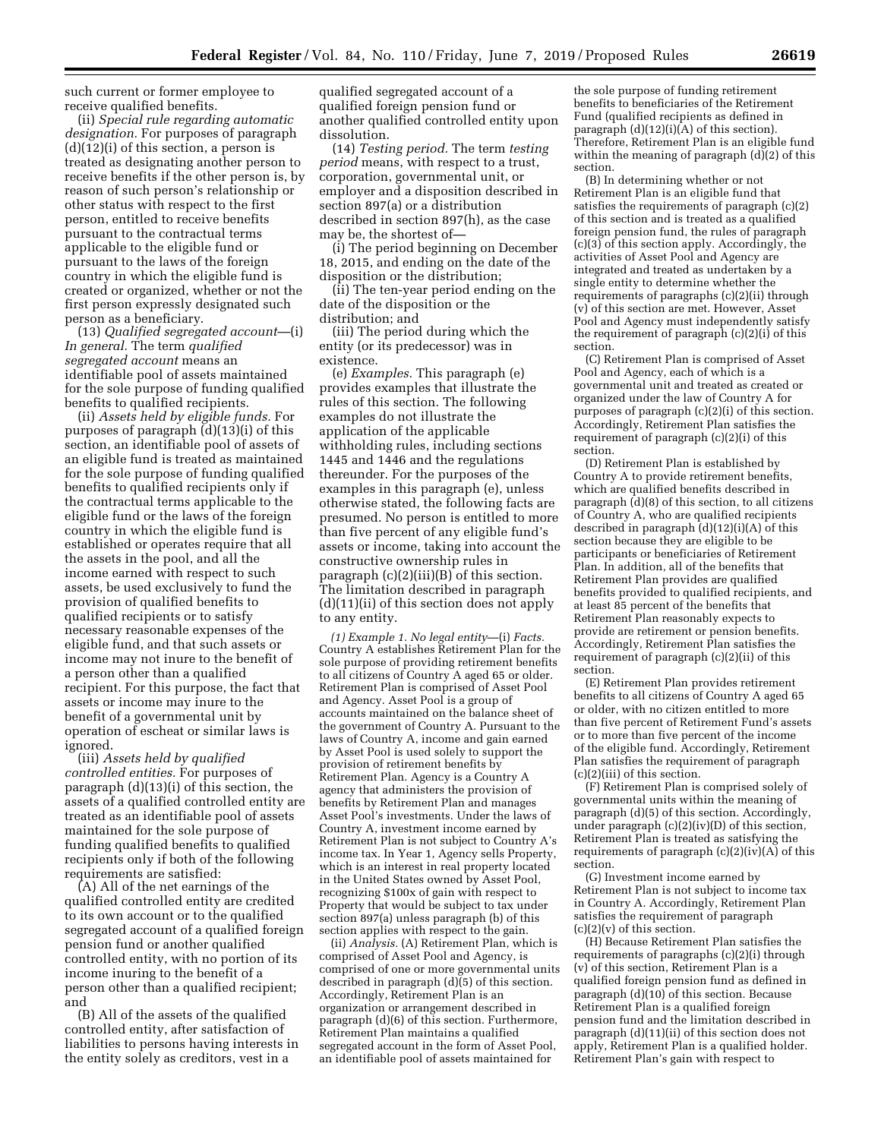such current or former employee to receive qualified benefits.

(ii) *Special rule regarding automatic designation.* For purposes of paragraph (d)(12)(i) of this section, a person is treated as designating another person to receive benefits if the other person is, by reason of such person's relationship or other status with respect to the first person, entitled to receive benefits pursuant to the contractual terms applicable to the eligible fund or pursuant to the laws of the foreign country in which the eligible fund is created or organized, whether or not the first person expressly designated such person as a beneficiary.

(13) *Qualified segregated account*—(i) *In general.* The term *qualified segregated account* means an identifiable pool of assets maintained for the sole purpose of funding qualified benefits to qualified recipients.

(ii) *Assets held by eligible funds.* For purposes of paragraph (d)(13)(i) of this section, an identifiable pool of assets of an eligible fund is treated as maintained for the sole purpose of funding qualified benefits to qualified recipients only if the contractual terms applicable to the eligible fund or the laws of the foreign country in which the eligible fund is established or operates require that all the assets in the pool, and all the income earned with respect to such assets, be used exclusively to fund the provision of qualified benefits to qualified recipients or to satisfy necessary reasonable expenses of the eligible fund, and that such assets or income may not inure to the benefit of a person other than a qualified recipient. For this purpose, the fact that assets or income may inure to the benefit of a governmental unit by operation of escheat or similar laws is ignored.

(iii) *Assets held by qualified controlled entities.* For purposes of paragraph (d)(13)(i) of this section, the assets of a qualified controlled entity are treated as an identifiable pool of assets maintained for the sole purpose of funding qualified benefits to qualified recipients only if both of the following requirements are satisfied:

(A) All of the net earnings of the qualified controlled entity are credited to its own account or to the qualified segregated account of a qualified foreign pension fund or another qualified controlled entity, with no portion of its income inuring to the benefit of a person other than a qualified recipient; and

(B) All of the assets of the qualified controlled entity, after satisfaction of liabilities to persons having interests in the entity solely as creditors, vest in a

qualified segregated account of a qualified foreign pension fund or another qualified controlled entity upon dissolution.

(14) *Testing period.* The term *testing period* means, with respect to a trust, corporation, governmental unit, or employer and a disposition described in section 897(a) or a distribution described in section 897(h), as the case may be, the shortest of—

(i) The period beginning on December 18, 2015, and ending on the date of the disposition or the distribution;

(ii) The ten-year period ending on the date of the disposition or the distribution; and

(iii) The period during which the entity (or its predecessor) was in existence.

(e) *Examples.* This paragraph (e) provides examples that illustrate the rules of this section. The following examples do not illustrate the application of the applicable withholding rules, including sections 1445 and 1446 and the regulations thereunder. For the purposes of the examples in this paragraph (e), unless otherwise stated, the following facts are presumed. No person is entitled to more than five percent of any eligible fund's assets or income, taking into account the constructive ownership rules in paragraph (c)(2)(iii)(B) of this section. The limitation described in paragraph (d)(11)(ii) of this section does not apply to any entity.

*(1) Example 1. No legal entity*—(i) *Facts.*  Country A establishes Retirement Plan for the sole purpose of providing retirement benefits to all citizens of Country A aged 65 or older. Retirement Plan is comprised of Asset Pool and Agency. Asset Pool is a group of accounts maintained on the balance sheet of the government of Country A. Pursuant to the laws of Country A, income and gain earned by Asset Pool is used solely to support the provision of retirement benefits by Retirement Plan. Agency is a Country A agency that administers the provision of benefits by Retirement Plan and manages Asset Pool's investments. Under the laws of Country A, investment income earned by Retirement Plan is not subject to Country A's income tax. In Year 1, Agency sells Property, which is an interest in real property located in the United States owned by Asset Pool, recognizing \$100x of gain with respect to Property that would be subject to tax under section 897(a) unless paragraph (b) of this section applies with respect to the gain.

(ii) *Analysis.* (A) Retirement Plan, which is comprised of Asset Pool and Agency, is comprised of one or more governmental units described in paragraph (d)(5) of this section. Accordingly, Retirement Plan is an organization or arrangement described in paragraph (d)(6) of this section. Furthermore, Retirement Plan maintains a qualified segregated account in the form of Asset Pool, an identifiable pool of assets maintained for

the sole purpose of funding retirement benefits to beneficiaries of the Retirement Fund (qualified recipients as defined in paragraph  $(d)(12)(i)(A)$  of this section). Therefore, Retirement Plan is an eligible fund within the meaning of paragraph  $(d)(2)$  of this section.

(B) In determining whether or not Retirement Plan is an eligible fund that satisfies the requirements of paragraph (c)(2) of this section and is treated as a qualified foreign pension fund, the rules of paragraph (c)(3) of this section apply. Accordingly, the activities of Asset Pool and Agency are integrated and treated as undertaken by a single entity to determine whether the requirements of paragraphs (c)(2)(ii) through (v) of this section are met. However, Asset Pool and Agency must independently satisfy the requirement of paragraph (c)(2)(i) of this section.

(C) Retirement Plan is comprised of Asset Pool and Agency, each of which is a governmental unit and treated as created or organized under the law of Country A for purposes of paragraph (c)(2)(i) of this section. Accordingly, Retirement Plan satisfies the requirement of paragraph (c)(2)(i) of this section.

(D) Retirement Plan is established by Country A to provide retirement benefits, which are qualified benefits described in paragraph (d)(8) of this section, to all citizens of Country A, who are qualified recipients described in paragraph  $(d)(12)(i)(A)$  of this section because they are eligible to be participants or beneficiaries of Retirement Plan. In addition, all of the benefits that Retirement Plan provides are qualified benefits provided to qualified recipients, and at least 85 percent of the benefits that Retirement Plan reasonably expects to provide are retirement or pension benefits. Accordingly, Retirement Plan satisfies the requirement of paragraph (c)(2)(ii) of this section.

(E) Retirement Plan provides retirement benefits to all citizens of Country A aged 65 or older, with no citizen entitled to more than five percent of Retirement Fund's assets or to more than five percent of the income of the eligible fund. Accordingly, Retirement Plan satisfies the requirement of paragraph (c)(2)(iii) of this section.

(F) Retirement Plan is comprised solely of governmental units within the meaning of paragraph (d)(5) of this section. Accordingly, under paragraph (c)(2)(iv)(D) of this section, Retirement Plan is treated as satisfying the requirements of paragraph (c)(2)(iv)(A) of this section.

(G) Investment income earned by Retirement Plan is not subject to income tax in Country A. Accordingly, Retirement Plan satisfies the requirement of paragraph  $(c)(2)(v)$  of this section.

(H) Because Retirement Plan satisfies the requirements of paragraphs (c)(2)(i) through (v) of this section, Retirement Plan is a qualified foreign pension fund as defined in paragraph  $(d)(10)$  of this section. Because Retirement Plan is a qualified foreign pension fund and the limitation described in paragraph (d)(11)(ii) of this section does not apply, Retirement Plan is a qualified holder. Retirement Plan's gain with respect to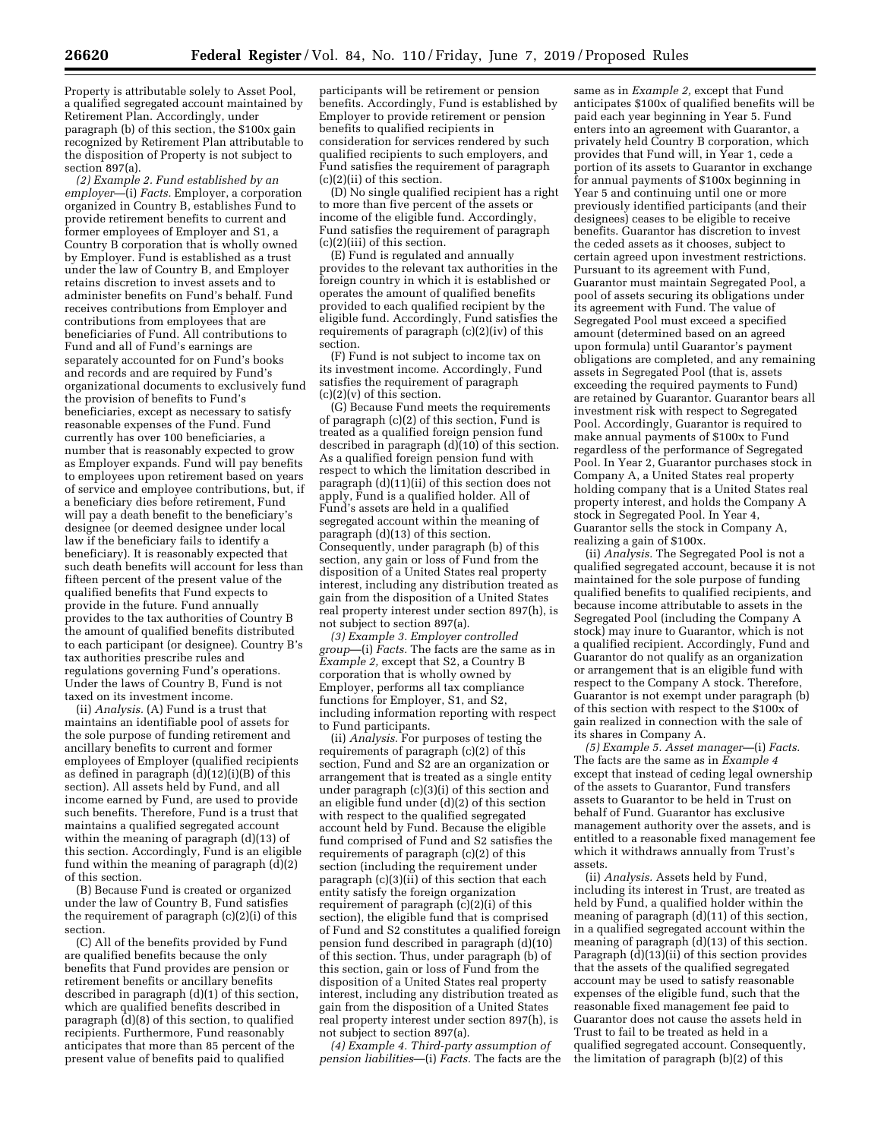Property is attributable solely to Asset Pool, a qualified segregated account maintained by Retirement Plan. Accordingly, under paragraph (b) of this section, the \$100x gain recognized by Retirement Plan attributable to the disposition of Property is not subject to section 897(a).

*(2) Example 2. Fund established by an employer*—(i) *Facts.* Employer, a corporation organized in Country B, establishes Fund to provide retirement benefits to current and former employees of Employer and S1, a Country B corporation that is wholly owned by Employer. Fund is established as a trust under the law of Country B, and Employer retains discretion to invest assets and to administer benefits on Fund's behalf. Fund receives contributions from Employer and contributions from employees that are beneficiaries of Fund. All contributions to Fund and all of Fund's earnings are separately accounted for on Fund's books and records and are required by Fund's organizational documents to exclusively fund the provision of benefits to Fund's beneficiaries, except as necessary to satisfy reasonable expenses of the Fund. Fund currently has over 100 beneficiaries, a number that is reasonably expected to grow as Employer expands. Fund will pay benefits to employees upon retirement based on years of service and employee contributions, but, if a beneficiary dies before retirement, Fund will pay a death benefit to the beneficiary's designee (or deemed designee under local law if the beneficiary fails to identify a beneficiary). It is reasonably expected that such death benefits will account for less than fifteen percent of the present value of the qualified benefits that Fund expects to provide in the future. Fund annually provides to the tax authorities of Country B the amount of qualified benefits distributed to each participant (or designee). Country B's tax authorities prescribe rules and regulations governing Fund's operations. Under the laws of Country B, Fund is not taxed on its investment income.

(ii) *Analysis.* (A) Fund is a trust that maintains an identifiable pool of assets for the sole purpose of funding retirement and ancillary benefits to current and former employees of Employer (qualified recipients as defined in paragraph  $(d)(12)(i)(B)$  of this section). All assets held by Fund, and all income earned by Fund, are used to provide such benefits. Therefore, Fund is a trust that maintains a qualified segregated account within the meaning of paragraph (d)(13) of this section. Accordingly, Fund is an eligible fund within the meaning of paragraph (d)(2) of this section.

(B) Because Fund is created or organized under the law of Country B, Fund satisfies the requirement of paragraph (c)(2)(i) of this section.

(C) All of the benefits provided by Fund are qualified benefits because the only benefits that Fund provides are pension or retirement benefits or ancillary benefits described in paragraph (d)(1) of this section, which are qualified benefits described in paragraph (d)(8) of this section, to qualified recipients. Furthermore, Fund reasonably anticipates that more than 85 percent of the present value of benefits paid to qualified

participants will be retirement or pension benefits. Accordingly, Fund is established by Employer to provide retirement or pension benefits to qualified recipients in consideration for services rendered by such qualified recipients to such employers, and Fund satisfies the requirement of paragraph (c)(2)(ii) of this section.

(D) No single qualified recipient has a right to more than five percent of the assets or income of the eligible fund. Accordingly, Fund satisfies the requirement of paragraph (c)(2)(iii) of this section.

(E) Fund is regulated and annually provides to the relevant tax authorities in the foreign country in which it is established or operates the amount of qualified benefits provided to each qualified recipient by the eligible fund. Accordingly, Fund satisfies the requirements of paragraph (c)(2)(iv) of this section.

(F) Fund is not subject to income tax on its investment income. Accordingly, Fund satisfies the requirement of paragraph  $(c)(2)(v)$  of this section.

(G) Because Fund meets the requirements of paragraph (c)(2) of this section, Fund is treated as a qualified foreign pension fund described in paragraph  $(d)(10)$  of this section. As a qualified foreign pension fund with respect to which the limitation described in paragraph (d)(11)(ii) of this section does not apply, Fund is a qualified holder. All of Fund's assets are held in a qualified segregated account within the meaning of paragraph (d)(13) of this section. Consequently, under paragraph (b) of this section, any gain or loss of Fund from the disposition of a United States real property interest, including any distribution treated as gain from the disposition of a United States real property interest under section 897(h), is not subject to section 897(a).

*(3) Example 3. Employer controlled group*—(i) *Facts.* The facts are the same as in *Example 2,* except that S2, a Country B corporation that is wholly owned by Employer, performs all tax compliance functions for Employer, S1, and S2, including information reporting with respect to Fund participants.

(ii) *Analysis.* For purposes of testing the requirements of paragraph (c)(2) of this section, Fund and S2 are an organization or arrangement that is treated as a single entity under paragraph (c)(3)(i) of this section and an eligible fund under (d)(2) of this section with respect to the qualified segregated account held by Fund. Because the eligible fund comprised of Fund and S2 satisfies the requirements of paragraph (c)(2) of this section (including the requirement under paragraph (c)(3)(ii) of this section that each entity satisfy the foreign organization requirement of paragraph (c)(2)(i) of this section), the eligible fund that is comprised of Fund and S2 constitutes a qualified foreign pension fund described in paragraph (d)(10) of this section. Thus, under paragraph (b) of this section, gain or loss of Fund from the disposition of a United States real property interest, including any distribution treated as gain from the disposition of a United States real property interest under section 897(h), is not subject to section 897(a).

*(4) Example 4. Third-party assumption of pension liabilities*—(i) *Facts.* The facts are the

same as in *Example 2,* except that Fund anticipates \$100x of qualified benefits will be paid each year beginning in Year 5. Fund enters into an agreement with Guarantor, a privately held Country B corporation, which provides that Fund will, in Year 1, cede a portion of its assets to Guarantor in exchange for annual payments of \$100x beginning in Year 5 and continuing until one or more previously identified participants (and their designees) ceases to be eligible to receive benefits. Guarantor has discretion to invest the ceded assets as it chooses, subject to certain agreed upon investment restrictions. Pursuant to its agreement with Fund, Guarantor must maintain Segregated Pool, a pool of assets securing its obligations under its agreement with Fund. The value of Segregated Pool must exceed a specified amount (determined based on an agreed upon formula) until Guarantor's payment obligations are completed, and any remaining assets in Segregated Pool (that is, assets exceeding the required payments to Fund) are retained by Guarantor. Guarantor bears all investment risk with respect to Segregated Pool. Accordingly, Guarantor is required to make annual payments of \$100x to Fund regardless of the performance of Segregated Pool. In Year 2, Guarantor purchases stock in Company A, a United States real property holding company that is a United States real property interest, and holds the Company A stock in Segregated Pool. In Year 4, Guarantor sells the stock in Company A, realizing a gain of \$100x.

(ii) *Analysis.* The Segregated Pool is not a qualified segregated account, because it is not maintained for the sole purpose of funding qualified benefits to qualified recipients, and because income attributable to assets in the Segregated Pool (including the Company A stock) may inure to Guarantor, which is not a qualified recipient. Accordingly, Fund and Guarantor do not qualify as an organization or arrangement that is an eligible fund with respect to the Company A stock. Therefore, Guarantor is not exempt under paragraph (b) of this section with respect to the \$100x of gain realized in connection with the sale of its shares in Company A.

*(5) Example 5. Asset manager*—(i) *Facts.*  The facts are the same as in *Example 4*  except that instead of ceding legal ownership of the assets to Guarantor, Fund transfers assets to Guarantor to be held in Trust on behalf of Fund. Guarantor has exclusive management authority over the assets, and is entitled to a reasonable fixed management fee which it withdraws annually from Trust's assets.

(ii) *Analysis.* Assets held by Fund, including its interest in Trust, are treated as held by Fund, a qualified holder within the meaning of paragraph (d)(11) of this section, in a qualified segregated account within the meaning of paragraph (d)(13) of this section. Paragraph (d)(13)(ii) of this section provides that the assets of the qualified segregated account may be used to satisfy reasonable expenses of the eligible fund, such that the reasonable fixed management fee paid to Guarantor does not cause the assets held in Trust to fail to be treated as held in a qualified segregated account. Consequently, the limitation of paragraph (b)(2) of this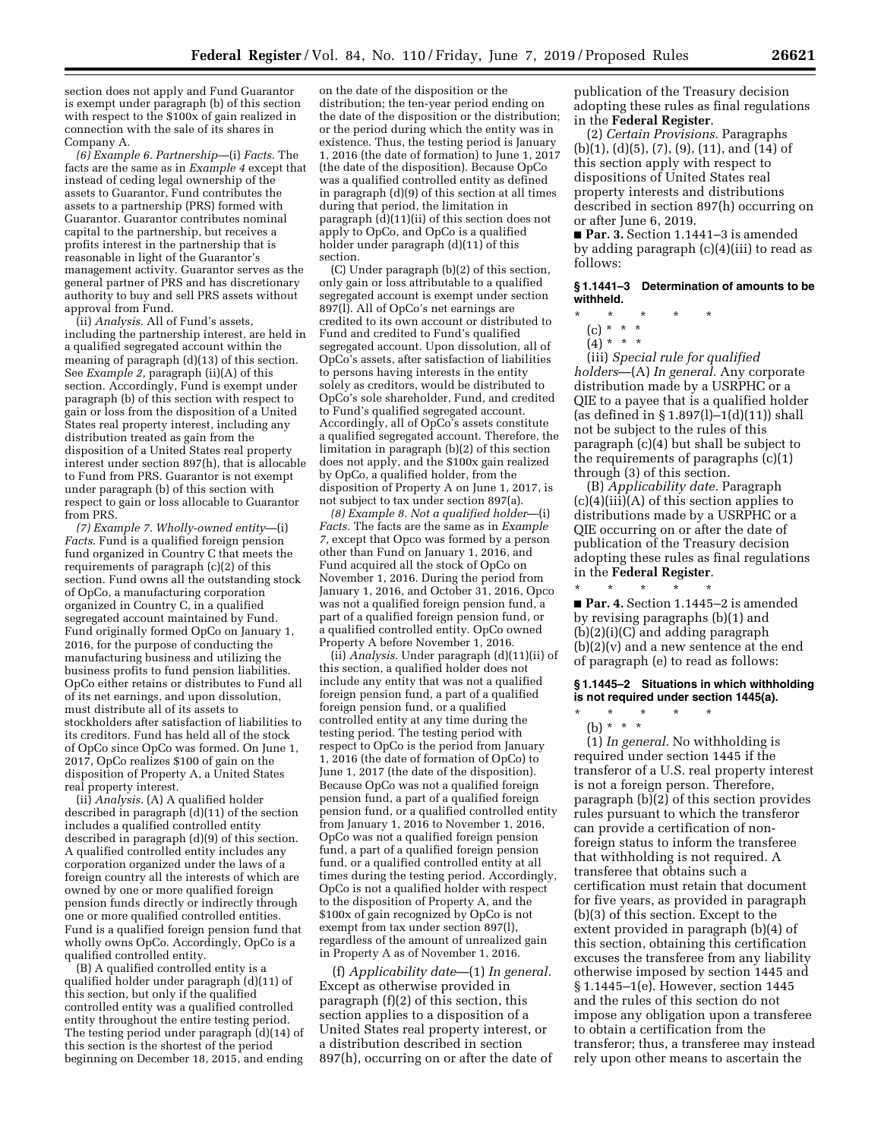section does not apply and Fund Guarantor is exempt under paragraph (b) of this section with respect to the \$100x of gain realized in connection with the sale of its shares in Company A.

*(6) Example 6. Partnership*—(i) *Facts.* The facts are the same as in *Example 4* except that instead of ceding legal ownership of the assets to Guarantor, Fund contributes the assets to a partnership (PRS) formed with Guarantor. Guarantor contributes nominal capital to the partnership, but receives a profits interest in the partnership that is reasonable in light of the Guarantor's management activity. Guarantor serves as the general partner of PRS and has discretionary authority to buy and sell PRS assets without approval from Fund.

(ii) *Analysis.* All of Fund's assets, including the partnership interest, are held in a qualified segregated account within the meaning of paragraph (d)(13) of this section. See *Example 2,* paragraph (ii)(A) of this section. Accordingly, Fund is exempt under paragraph (b) of this section with respect to gain or loss from the disposition of a United States real property interest, including any distribution treated as gain from the disposition of a United States real property interest under section 897(h), that is allocable to Fund from PRS. Guarantor is not exempt under paragraph (b) of this section with respect to gain or loss allocable to Guarantor from PRS.

*(7) Example 7. Wholly-owned entity*—(i) *Facts.* Fund is a qualified foreign pension fund organized in Country C that meets the requirements of paragraph (c)(2) of this section. Fund owns all the outstanding stock of OpCo, a manufacturing corporation organized in Country C, in a qualified segregated account maintained by Fund. Fund originally formed OpCo on January 1, 2016, for the purpose of conducting the manufacturing business and utilizing the business profits to fund pension liabilities. OpCo either retains or distributes to Fund all of its net earnings, and upon dissolution, must distribute all of its assets to stockholders after satisfaction of liabilities to its creditors. Fund has held all of the stock of OpCo since OpCo was formed. On June 1, 2017, OpCo realizes \$100 of gain on the disposition of Property A, a United States real property interest.

(ii) *Analysis.* (A) A qualified holder described in paragraph (d)(11) of the section includes a qualified controlled entity described in paragraph (d)(9) of this section. A qualified controlled entity includes any corporation organized under the laws of a foreign country all the interests of which are owned by one or more qualified foreign pension funds directly or indirectly through one or more qualified controlled entities. Fund is a qualified foreign pension fund that wholly owns OpCo. Accordingly, OpCo is a qualified controlled entity.

(B) A qualified controlled entity is a qualified holder under paragraph (d)(11) of this section, but only if the qualified controlled entity was a qualified controlled entity throughout the entire testing period. The testing period under paragraph (d)(14) of this section is the shortest of the period beginning on December 18, 2015, and ending

on the date of the disposition or the distribution; the ten-year period ending on the date of the disposition or the distribution; or the period during which the entity was in existence. Thus, the testing period is January 1, 2016 (the date of formation) to June 1, 2017 (the date of the disposition). Because OpCo was a qualified controlled entity as defined in paragraph (d)(9) of this section at all times during that period, the limitation in paragraph  $(d)(11)(ii)$  of this section does not apply to OpCo, and OpCo is a qualified holder under paragraph (d)(11) of this section.

(C) Under paragraph (b)(2) of this section, only gain or loss attributable to a qualified segregated account is exempt under section 897(l). All of OpCo's net earnings are credited to its own account or distributed to Fund and credited to Fund's qualified segregated account. Upon dissolution, all of OpCo's assets, after satisfaction of liabilities to persons having interests in the entity solely as creditors, would be distributed to OpCo's sole shareholder, Fund, and credited to Fund's qualified segregated account. Accordingly, all of OpCo's assets constitute a qualified segregated account. Therefore, the limitation in paragraph (b)(2) of this section does not apply, and the \$100x gain realized by OpCo, a qualified holder, from the disposition of Property A on June 1, 2017, is not subject to tax under section 897(a).

*(8) Example 8. Not a qualified holder*—(i) *Facts.* The facts are the same as in *Example 7,* except that Opco was formed by a person other than Fund on January 1, 2016, and Fund acquired all the stock of OpCo on November 1, 2016. During the period from January 1, 2016, and October 31, 2016, Opco was not a qualified foreign pension fund, a part of a qualified foreign pension fund, or a qualified controlled entity. OpCo owned Property A before November 1, 2016.

(ii) *Analysis.* Under paragraph (d)(11)(ii) of this section, a qualified holder does not include any entity that was not a qualified foreign pension fund, a part of a qualified foreign pension fund, or a qualified controlled entity at any time during the testing period. The testing period with respect to OpCo is the period from January 1, 2016 (the date of formation of OpCo) to June 1, 2017 (the date of the disposition). Because OpCo was not a qualified foreign pension fund, a part of a qualified foreign pension fund, or a qualified controlled entity from January 1, 2016 to November 1, 2016, OpCo was not a qualified foreign pension fund, a part of a qualified foreign pension fund, or a qualified controlled entity at all times during the testing period. Accordingly, OpCo is not a qualified holder with respect to the disposition of Property A, and the \$100x of gain recognized by OpCo is not exempt from tax under section 897(l), regardless of the amount of unrealized gain in Property A as of November 1, 2016.

(f) *Applicability date*—(1) *In general.*  Except as otherwise provided in paragraph (f)(2) of this section, this section applies to a disposition of a United States real property interest, or a distribution described in section 897(h), occurring on or after the date of

publication of the Treasury decision adopting these rules as final regulations in the **Federal Register**.

(2) *Certain Provisions.* Paragraphs (b)(1), (d)(5), (7), (9), (11), and (14) of this section apply with respect to dispositions of United States real property interests and distributions described in section 897(h) occurring on or after June 6, 2019.

■ **Par. 3.** Section 1.1441-3 is amended by adding paragraph (c)(4)(iii) to read as follows:

**§ 1.1441–3 Determination of amounts to be withheld.** 

- \* \* \* \* \*
	- (c) \* \* \*
	- $(4) * * * *$

(iii) *Special rule for qualified holders*—(A) *In general.* Any corporate distribution made by a USRPHC or a QIE to a payee that is a qualified holder (as defined in  $\S 1.897(1) - 1(d)(11)$ ) shall not be subject to the rules of this paragraph (c)(4) but shall be subject to the requirements of paragraphs (c)(1) through (3) of this section.

(B) *Applicability date.* Paragraph  $(c)(4)(iii)(A)$  of this section applies to distributions made by a USRPHC or a QIE occurring on or after the date of publication of the Treasury decision adopting these rules as final regulations in the **Federal Register**.

■ **Par. 4.** Section 1.1445–2 is amended by revising paragraphs (b)(1) and  $(b)(2)(i)(C)$  and adding paragraph  $(b)(2)(v)$  and a new sentence at the end of paragraph (e) to read as follows:

 $\star$   $\qquad$   $\star$   $\qquad$   $\star$ 

# **§ 1.1445–2 Situations in which withholding is not required under section 1445(a).**

\* \* \* \* \*

(b) \* \* \* (1) *In general.* No withholding is required under section 1445 if the transferor of a U.S. real property interest is not a foreign person. Therefore, paragraph (b)(2) of this section provides rules pursuant to which the transferor can provide a certification of nonforeign status to inform the transferee that withholding is not required. A transferee that obtains such a certification must retain that document for five years, as provided in paragraph (b)(3) of this section. Except to the extent provided in paragraph (b)(4) of this section, obtaining this certification excuses the transferee from any liability otherwise imposed by section 1445 and § 1.1445–1(e). However, section 1445 and the rules of this section do not impose any obligation upon a transferee to obtain a certification from the transferor; thus, a transferee may instead rely upon other means to ascertain the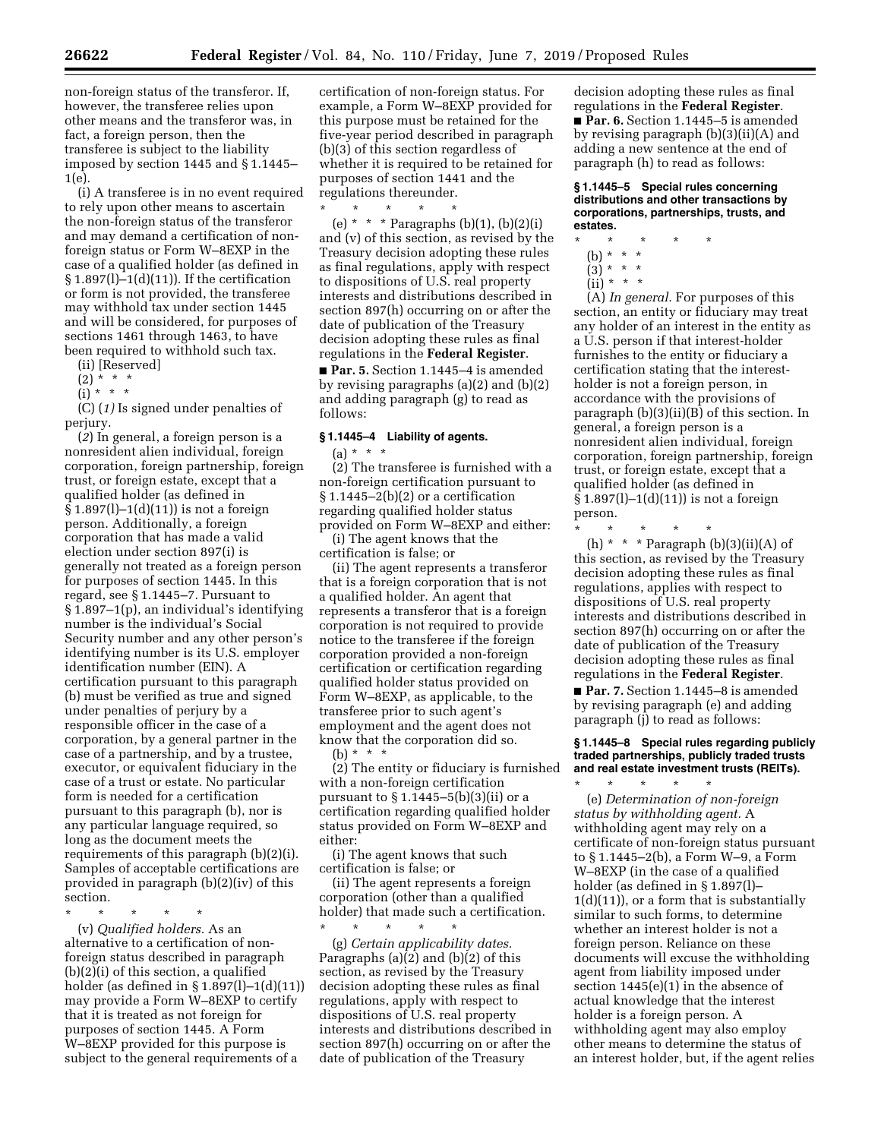non-foreign status of the transferor. If, however, the transferee relies upon other means and the transferor was, in fact, a foreign person, then the transferee is subject to the liability imposed by section 1445 and § 1.1445– 1(e).

(i) A transferee is in no event required to rely upon other means to ascertain the non-foreign status of the transferor and may demand a certification of nonforeign status or Form W–8EXP in the case of a qualified holder (as defined in § 1.897(l)–1(d)(11)). If the certification or form is not provided, the transferee may withhold tax under section 1445 and will be considered, for purposes of sections 1461 through 1463, to have been required to withhold such tax.

(ii) [Reserved]

- $(2) * * * *$
- $(i) * * * *$

(C) (*1)* Is signed under penalties of perjury.

(*2*) In general, a foreign person is a nonresident alien individual, foreign corporation, foreign partnership, foreign trust, or foreign estate, except that a qualified holder (as defined in § 1.897(l)–1(d)(11)) is not a foreign person. Additionally, a foreign corporation that has made a valid election under section 897(i) is generally not treated as a foreign person for purposes of section 1445. In this regard, see § 1.1445–7. Pursuant to § 1.897–1(p), an individual's identifying number is the individual's Social Security number and any other person's identifying number is its U.S. employer identification number (EIN). A certification pursuant to this paragraph (b) must be verified as true and signed under penalties of perjury by a responsible officer in the case of a corporation, by a general partner in the case of a partnership, and by a trustee, executor, or equivalent fiduciary in the case of a trust or estate. No particular form is needed for a certification pursuant to this paragraph (b), nor is any particular language required, so long as the document meets the requirements of this paragraph (b)(2)(i). Samples of acceptable certifications are provided in paragraph (b)(2)(iv) of this section.

\* \* \* \* \*

(v) *Qualified holders.* As an alternative to a certification of nonforeign status described in paragraph (b)(2)(i) of this section, a qualified holder (as defined in § 1.897(l)–1(d)(11)) may provide a Form W–8EXP to certify that it is treated as not foreign for purposes of section 1445. A Form W–8EXP provided for this purpose is subject to the general requirements of a

certification of non-foreign status. For example, a Form W–8EXP provided for this purpose must be retained for the five-year period described in paragraph (b)(3) of this section regardless of whether it is required to be retained for purposes of section 1441 and the regulations thereunder.

\* \* \* \* \* (e) \* \* \* Paragraphs (b)(1), (b)(2)(i) and (v) of this section, as revised by the Treasury decision adopting these rules as final regulations, apply with respect to dispositions of U.S. real property interests and distributions described in section 897(h) occurring on or after the date of publication of the Treasury decision adopting these rules as final regulations in the **Federal Register**.

■ **Par. 5.** Section 1.1445–4 is amended by revising paragraphs (a)(2) and (b)(2) and adding paragraph (g) to read as follows:

# **§ 1.1445–4 Liability of agents.**

(a) \* \* \*

(2) The transferee is furnished with a non-foreign certification pursuant to  $§ 1.1445 - 2(b)(2)$  or a certification regarding qualified holder status provided on Form W–8EXP and either:

(i) The agent knows that the certification is false; or

(ii) The agent represents a transferor that is a foreign corporation that is not a qualified holder. An agent that represents a transferor that is a foreign corporation is not required to provide notice to the transferee if the foreign corporation provided a non-foreign certification or certification regarding qualified holder status provided on Form W–8EXP, as applicable, to the transferee prior to such agent's employment and the agent does not know that the corporation did so. (b) \* \* \*

(2) The entity or fiduciary is furnished with a non-foreign certification pursuant to  $\S 1.1445 - 5(b)(3)(ii)$  or a certification regarding qualified holder status provided on Form W–8EXP and either:

(i) The agent knows that such certification is false; or

(ii) The agent represents a foreign corporation (other than a qualified holder) that made such a certification. \* \* \* \* \*

(g) *Certain applicability dates.*  Paragraphs (a)(2) and (b)(2) of this section, as revised by the Treasury decision adopting these rules as final regulations, apply with respect to dispositions of U.S. real property interests and distributions described in section 897(h) occurring on or after the date of publication of the Treasury

decision adopting these rules as final regulations in the **Federal Register**. ■ **Par. 6.** Section 1.1445–5 is amended by revising paragraph (b)(3)(ii)(A) and adding a new sentence at the end of paragraph (h) to read as follows:

**§ 1.1445–5 Special rules concerning distributions and other transactions by corporations, partnerships, trusts, and estates.** 

- \* \* \* \* \*
	- (b) \* \* \*  $(3)^{*}$  \* \*
	-
	- $(ii) * * * *$

(A) *In general.* For purposes of this section, an entity or fiduciary may treat any holder of an interest in the entity as a U.S. person if that interest-holder furnishes to the entity or fiduciary a certification stating that the interestholder is not a foreign person, in accordance with the provisions of paragraph (b)(3)(ii)(B) of this section. In general, a foreign person is a nonresident alien individual, foreign corporation, foreign partnership, foreign trust, or foreign estate, except that a qualified holder (as defined in § 1.897(l)–1(d)(11)) is not a foreign person.

\* \* \* \* \*

(h)  $*$   $*$   $*$  Paragraph (b)(3)(ii)(A) of this section, as revised by the Treasury decision adopting these rules as final regulations, applies with respect to dispositions of U.S. real property interests and distributions described in section 897(h) occurring on or after the date of publication of the Treasury decision adopting these rules as final regulations in the **Federal Register**.

■ **Par. 7.** Section 1.1445–8 is amended by revising paragraph (e) and adding paragraph (j) to read as follows:

**§ 1.1445–8 Special rules regarding publicly traded partnerships, publicly traded trusts and real estate investment trusts (REITs).** 

\* \* \* \* \* (e) *Determination of non-foreign status by withholding agent.* A withholding agent may rely on a certificate of non-foreign status pursuant to § 1.1445–2(b), a Form W–9, a Form W–8EXP (in the case of a qualified holder (as defined in § 1.897(l)– 1(d)(11)), or a form that is substantially similar to such forms, to determine whether an interest holder is not a foreign person. Reliance on these documents will excuse the withholding agent from liability imposed under section 1445(e)(1) in the absence of actual knowledge that the interest holder is a foreign person. A withholding agent may also employ other means to determine the status of an interest holder, but, if the agent relies